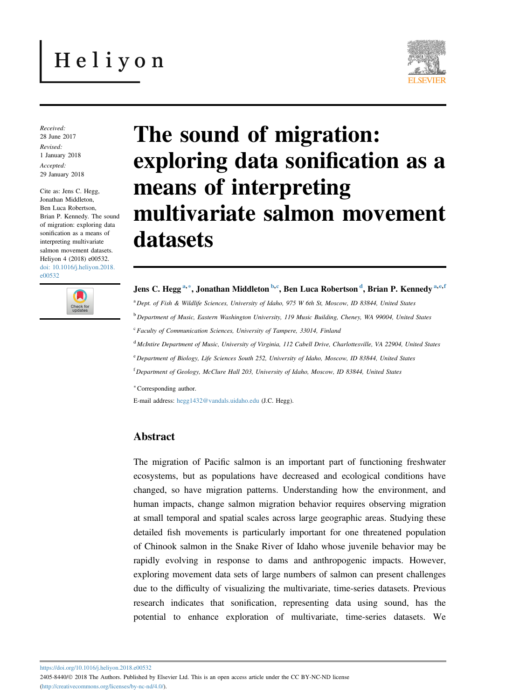# Heliyon



Received: 28 June 2017 Revised: 1 January 2018 Accepted: 29 January 2018

Cite as: Jens C. Hegg, Jonathan Middleton, Ben Luca Robertson, Brian P. Kennedy. The sound of migration: exploring data sonification as a means of interpreting multivariate salmon movement datasets. Heliyon 4 (2018) e00532. [doi: 10.1016/j.heliyon.2018.](https://doi.org/10.1016/j.heliyon.2018.e00532) [e00532](https://doi.org/10.1016/j.heliyon.2018.e00532)



# The sound of migration: exploring data sonification as a means of interpreting multivariate salmon movement datasets

#### Jens C. Hegg<sup>a,∗</sup>, Jonathan Middleton <sup>b,c</sup>, Ben Luca Robertson <sup>d</sup>, Brian P. Kennedy <sup>a,e,f</sup>

<sup>a</sup> Dept. of Fish & Wildlife Sciences, University of Idaho, 975 W 6th St, Moscow, ID 83844, United States

<sup>b</sup> Department of Music, Eastern Washington University, 119 Music Building, Cheney, WA 99004, United States

 $c$  Faculty of Communication Sciences, University of Tampere, 33014, Finland

<sup>d</sup> McIntire Department of Music, University of Virginia, 112 Cabell Drive, Charlottesville, VA 22904, United States

<sup>e</sup> Department of Biology, Life Sciences South 252, University of Idaho, Moscow, ID 83844, United States

<sup>f</sup> Department of Geology, McClure Hall 203, University of Idaho, Moscow, ID 83844, United States

<sup>∗</sup>Corresponding author.

E-mail address: [hegg1432@vandals.uidaho.edu](mailto:hegg1432@vandals.uidaho.edu) (J.C. Hegg).

# Abstract

The migration of Pacific salmon is an important part of functioning freshwater ecosystems, but as populations have decreased and ecological conditions have changed, so have migration patterns. Understanding how the environment, and human impacts, change salmon migration behavior requires observing migration at small temporal and spatial scales across large geographic areas. Studying these detailed fish movements is particularly important for one threatened population of Chinook salmon in the Snake River of Idaho whose juvenile behavior may be rapidly evolving in response to dams and anthropogenic impacts. However, exploring movement data sets of large numbers of salmon can present challenges due to the difficulty of visualizing the multivariate, time-series datasets. Previous research indicates that sonification, representing data using sound, has the potential to enhance exploration of multivariate, time-series datasets. We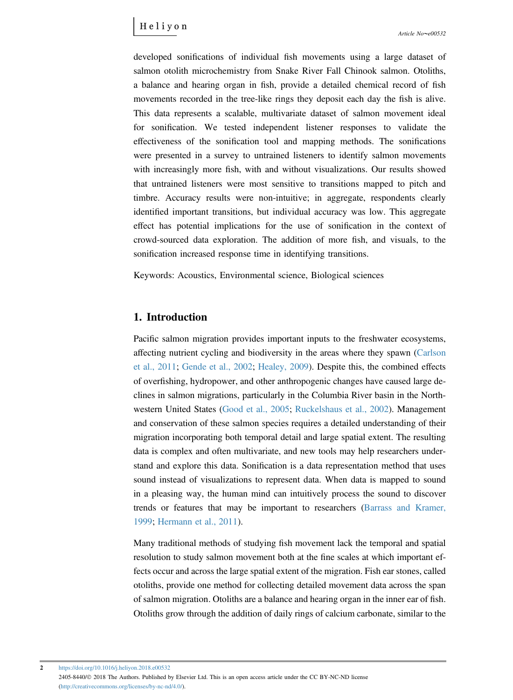developed sonifications of individual fish movements using a large dataset of salmon otolith microchemistry from Snake River Fall Chinook salmon. Otoliths, a balance and hearing organ in fish, provide a detailed chemical record of fish movements recorded in the tree-like rings they deposit each day the fish is alive. This data represents a scalable, multivariate dataset of salmon movement ideal for sonification. We tested independent listener responses to validate the effectiveness of the sonification tool and mapping methods. The sonifications were presented in a survey to untrained listeners to identify salmon movements with increasingly more fish, with and without visualizations. Our results showed that untrained listeners were most sensitive to transitions mapped to pitch and timbre. Accuracy results were non-intuitive; in aggregate, respondents clearly identified important transitions, but individual accuracy was low. This aggregate effect has potential implications for the use of sonification in the context of crowd-sourced data exploration. The addition of more fish, and visuals, to the sonification increased response time in identifying transitions.

Keywords: Acoustics, Environmental science, Biological sciences

#### 1. Introduction

Pacific salmon migration provides important inputs to the freshwater ecosystems, affecting nutrient cycling and biodiversity in the areas where they spawn ([Carlson](#page-21-0) [et al., 2011](#page-21-0); [Gende et al., 2002](#page-22-0); [Healey, 2009\)](#page-22-0). Despite this, the combined effects of overfishing, hydropower, and other anthropogenic changes have caused large declines in salmon migrations, particularly in the Columbia River basin in the Northwestern United States [\(Good et al., 2005](#page-22-0); [Ruckelshaus et al., 2002\)](#page-24-0). Management and conservation of these salmon species requires a detailed understanding of their migration incorporating both temporal detail and large spatial extent. The resulting data is complex and often multivariate, and new tools may help researchers understand and explore this data. Sonification is a data representation method that uses sound instead of visualizations to represent data. When data is mapped to sound in a pleasing way, the human mind can intuitively process the sound to discover trends or features that may be important to researchers ([Barrass and Kramer,](#page-20-0) [1999;](#page-20-0) [Hermann et al., 2011](#page-22-0)).

Many traditional methods of studying fish movement lack the temporal and spatial resolution to study salmon movement both at the fine scales at which important effects occur and across the large spatial extent of the migration. Fish ear stones, called otoliths, provide one method for collecting detailed movement data across the span of salmon migration. Otoliths are a balance and hearing organ in the inner ear of fish. Otoliths grow through the addition of daily rings of calcium carbonate, similar to the

```
2405-8440/© 2018 The Authors. Published by Elsevier Ltd. This is an open access article under the CC BY-NC-ND license
(http://creativecommons.org/licenses/by-nc-nd/4.0/).
```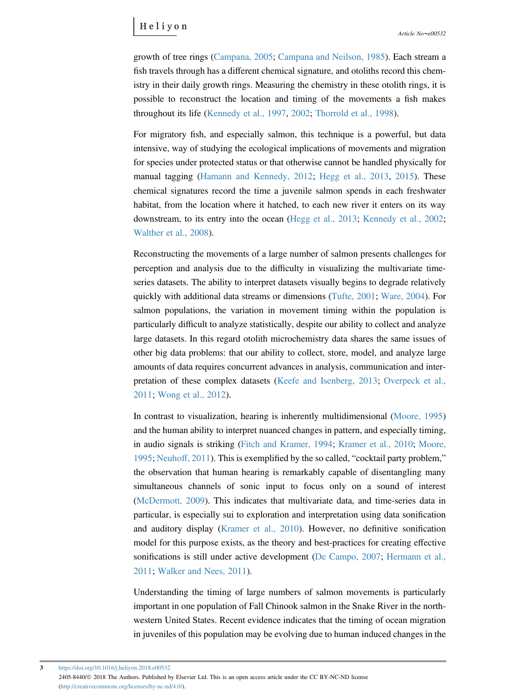growth of tree rings ([Campana, 2005;](#page-21-0) [Campana and Neilson, 1985\)](#page-21-0). Each stream a fish travels through has a different chemical signature, and otoliths record this chemistry in their daily growth rings. Measuring the chemistry in these otolith rings, it is possible to reconstruct the location and timing of the movements a fish makes throughout its life ([Kennedy et al., 1997,](#page-23-0) [2002](#page-23-0); [Thorrold et al., 1998\)](#page-24-0).

For migratory fish, and especially salmon, this technique is a powerful, but data intensive, way of studying the ecological implications of movements and migration for species under protected status or that otherwise cannot be handled physically for manual tagging ([Hamann and Kennedy, 2012;](#page-22-0) [Hegg et al., 2013,](#page-22-0) [2015\)](#page-22-0). These chemical signatures record the time a juvenile salmon spends in each freshwater habitat, from the location where it hatched, to each new river it enters on its way downstream, to its entry into the ocean ([Hegg et al., 2013](#page-22-0); [Kennedy et al., 2002;](#page-23-0) [Walther et al., 2008](#page-25-0)).

Reconstructing the movements of a large number of salmon presents challenges for perception and analysis due to the difficulty in visualizing the multivariate timeseries datasets. The ability to interpret datasets visually begins to degrade relatively quickly with additional data streams or dimensions ([Tufte, 2001;](#page-24-0) [Ware, 2004](#page-25-0)). For salmon populations, the variation in movement timing within the population is particularly difficult to analyze statistically, despite our ability to collect and analyze large datasets. In this regard otolith microchemistry data shares the same issues of other big data problems: that our ability to collect, store, model, and analyze large amounts of data requires concurrent advances in analysis, communication and interpretation of these complex datasets [\(Keefe and Isenberg, 2013;](#page-22-0) [Overpeck et al.,](#page-23-0) [2011;](#page-23-0) [Wong et al., 2012\)](#page-25-0).

In contrast to visualization, hearing is inherently multidimensional ([Moore, 1995](#page-23-0)) and the human ability to interpret nuanced changes in pattern, and especially timing, in audio signals is striking ([Fitch and Kramer, 1994](#page-21-0); [Kramer et al., 2010](#page-23-0); [Moore,](#page-23-0) [1995;](#page-23-0) [Neuho](#page-23-0)ff, 2011). This is exemplified by the so called, "cocktail party problem," the observation that human hearing is remarkably capable of disentangling many simultaneous channels of sonic input to focus only on a sound of interest ([McDermott, 2009](#page-23-0)). This indicates that multivariate data, and time-series data in particular, is especially sui to exploration and interpretation using data sonification and auditory display [\(Kramer et al., 2010](#page-23-0)). However, no definitive sonification model for this purpose exists, as the theory and best-practices for creating effective sonifications is still under active development [\(De Campo, 2007](#page-21-0); [Hermann et al.,](#page-22-0) [2011;](#page-22-0) [Walker and Nees, 2011\)](#page-24-0).

Understanding the timing of large numbers of salmon movements is particularly important in one population of Fall Chinook salmon in the Snake River in the northwestern United States. Recent evidence indicates that the timing of ocean migration in juveniles of this population may be evolving due to human induced changes in the

```
2405-8440/© 2018 The Authors. Published by Elsevier Ltd. This is an open access article under the CC BY-NC-ND license
(http://creativecommons.org/licenses/by-nc-nd/4.0/).
```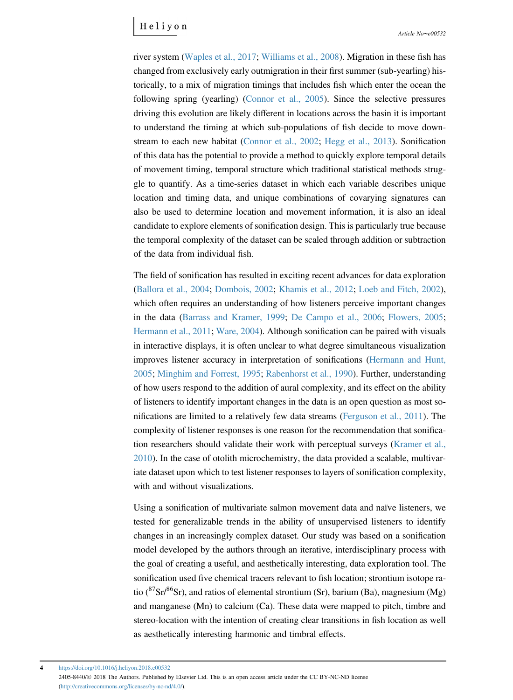river system ([Waples et al., 2017](#page-25-0); [Williams et al., 2008](#page-25-0)). Migration in these fish has changed from exclusively early outmigration in their first summer (sub-yearling) historically, to a mix of migration timings that includes fish which enter the ocean the following spring (yearling) ([Connor et al., 2005\)](#page-21-0). Since the selective pressures driving this evolution are likely different in locations across the basin it is important to understand the timing at which sub-populations of fish decide to move downstream to each new habitat [\(Connor et al., 2002](#page-21-0); [Hegg et al., 2013](#page-22-0)). Sonification of this data has the potential to provide a method to quickly explore temporal details of movement timing, temporal structure which traditional statistical methods struggle to quantify. As a time-series dataset in which each variable describes unique location and timing data, and unique combinations of covarying signatures can also be used to determine location and movement information, it is also an ideal candidate to explore elements of sonification design. This is particularly true because the temporal complexity of the dataset can be scaled through addition or subtraction of the data from individual fish.

The field of sonification has resulted in exciting recent advances for data exploration ([Ballora et al., 2004](#page-20-0); [Dombois, 2002](#page-21-0); [Khamis et al., 2012](#page-23-0); [Loeb and Fitch, 2002\)](#page-23-0), which often requires an understanding of how listeners perceive important changes in the data ([Barrass and Kramer, 1999;](#page-20-0) [De Campo et al., 2006](#page-21-0); [Flowers, 2005;](#page-22-0) [Hermann et al., 2011](#page-22-0); [Ware, 2004](#page-25-0)). Although sonification can be paired with visuals in interactive displays, it is often unclear to what degree simultaneous visualization improves listener accuracy in interpretation of sonifications [\(Hermann and Hunt,](#page-22-0) [2005;](#page-22-0) [Minghim and Forrest, 1995;](#page-23-0) [Rabenhorst et al., 1990\)](#page-24-0). Further, understanding of how users respond to the addition of aural complexity, and its effect on the ability of listeners to identify important changes in the data is an open question as most sonifications are limited to a relatively few data streams [\(Ferguson et al., 2011](#page-21-0)). The complexity of listener responses is one reason for the recommendation that sonification researchers should validate their work with perceptual surveys ([Kramer et al.,](#page-23-0) [2010\)](#page-23-0). In the case of otolith microchemistry, the data provided a scalable, multivariate dataset upon which to test listener responses to layers of sonification complexity, with and without visualizations.

Using a sonification of multivariate salmon movement data and naïve listeners, we tested for generalizable trends in the ability of unsupervised listeners to identify changes in an increasingly complex dataset. Our study was based on a sonification model developed by the authors through an iterative, interdisciplinary process with the goal of creating a useful, and aesthetically interesting, data exploration tool. The sonification used five chemical tracers relevant to fish location; strontium isotope ratio ( ${}^{87}Sr/{}^{86}Sr$ ), and ratios of elemental strontium (Sr), barium (Ba), magnesium (Mg) and manganese (Mn) to calcium (Ca). These data were mapped to pitch, timbre and stereo-location with the intention of creating clear transitions in fish location as well as aesthetically interesting harmonic and timbral effects.

<sup>4</sup> <https://doi.org/10.1016/j.heliyon.2018.e00532>

<sup>2405-8440/© 2018</sup> The Authors. Published by Elsevier Ltd. This is an open access article under the CC BY-NC-ND license [\(http://creativecommons.org/licenses/by-nc-nd/4.0/](http://creativecommons.org/licenses/by-nc-nd/4.0/)).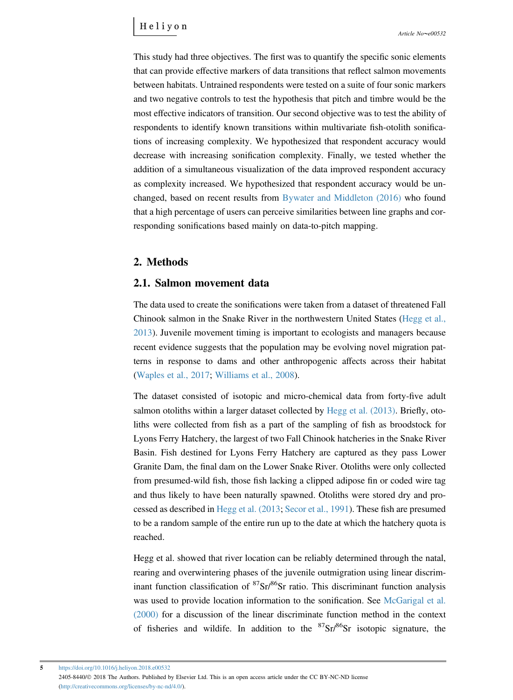This study had three objectives. The first was to quantify the specific sonic elements that can provide effective markers of data transitions that reflect salmon movements between habitats. Untrained respondents were tested on a suite of four sonic markers and two negative controls to test the hypothesis that pitch and timbre would be the most effective indicators of transition. Our second objective was to test the ability of respondents to identify known transitions within multivariate fish-otolith sonifications of increasing complexity. We hypothesized that respondent accuracy would decrease with increasing sonification complexity. Finally, we tested whether the addition of a simultaneous visualization of the data improved respondent accuracy as complexity increased. We hypothesized that respondent accuracy would be unchanged, based on recent results from [Bywater and Middleton \(2016\)](#page-21-0) who found that a high percentage of users can perceive similarities between line graphs and corresponding sonifications based mainly on data-to-pitch mapping.

#### 2. Methods

#### 2.1. Salmon movement data

The data used to create the sonifications were taken from a dataset of threatened Fall Chinook salmon in the Snake River in the northwestern United States ([Hegg et al.,](#page-22-0) [2013\)](#page-22-0). Juvenile movement timing is important to ecologists and managers because recent evidence suggests that the population may be evolving novel migration patterns in response to dams and other anthropogenic affects across their habitat ([Waples et al., 2017;](#page-25-0) [Williams et al., 2008](#page-25-0)).

The dataset consisted of isotopic and micro-chemical data from forty-five adult salmon otoliths within a larger dataset collected by [Hegg et al. \(2013\).](#page-22-0) Briefly, otoliths were collected from fish as a part of the sampling of fish as broodstock for Lyons Ferry Hatchery, the largest of two Fall Chinook hatcheries in the Snake River Basin. Fish destined for Lyons Ferry Hatchery are captured as they pass Lower Granite Dam, the final dam on the Lower Snake River. Otoliths were only collected from presumed-wild fish, those fish lacking a clipped adipose fin or coded wire tag and thus likely to have been naturally spawned. Otoliths were stored dry and processed as described in [Hegg et al. \(2013;](#page-22-0) [Secor et al., 1991\)](#page-24-0). These fish are presumed to be a random sample of the entire run up to the date at which the hatchery quota is reached.

Hegg et al. showed that river location can be reliably determined through the natal, rearing and overwintering phases of the juvenile outmigration using linear discriminant function classification of  ${}^{87}Sr/{}^{86}Sr$  ratio. This discriminant function analysis was used to provide location information to the sonification. See [McGarigal et al.](#page-23-0) [\(2000\)](#page-23-0) for a discussion of the linear discriminate function method in the context of fisheries and wildife. In addition to the  ${}^{87}Sr/{}^{86}Sr$  isotopic signature, the

<sup>2405-8440/© 2018</sup> The Authors. Published by Elsevier Ltd. This is an open access article under the CC BY-NC-ND license [\(http://creativecommons.org/licenses/by-nc-nd/4.0/](http://creativecommons.org/licenses/by-nc-nd/4.0/)).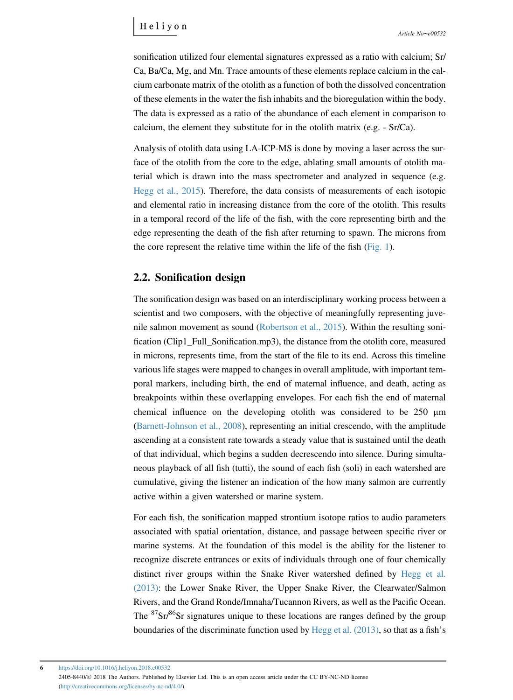sonification utilized four elemental signatures expressed as a ratio with calcium; Sr/ Ca, Ba/Ca, Mg, and Mn. Trace amounts of these elements replace calcium in the calcium carbonate matrix of the otolith as a function of both the dissolved concentration of these elements in the water the fish inhabits and the bioregulation within the body. The data is expressed as a ratio of the abundance of each element in comparison to calcium, the element they substitute for in the otolith matrix (e.g. - Sr/Ca).

Analysis of otolith data using LA-ICP-MS is done by moving a laser across the surface of the otolith from the core to the edge, ablating small amounts of otolith material which is drawn into the mass spectrometer and analyzed in sequence (e.g. [Hegg et al., 2015\)](#page-22-0). Therefore, the data consists of measurements of each isotopic and elemental ratio in increasing distance from the core of the otolith. This results in a temporal record of the life of the fish, with the core representing birth and the edge representing the death of the fish after returning to spawn. The microns from the core represent the relative time within the life of the fish ([Fig. 1\)](#page-6-0).

#### 2.2. Sonification design

The sonification design was based on an interdisciplinary working process between a scientist and two composers, with the objective of meaningfully representing juvenile salmon movement as sound [\(Robertson et al., 2015](#page-24-0)). Within the resulting sonification (Clip1\_Full\_Sonification.mp3), the distance from the otolith core, measured in microns, represents time, from the start of the file to its end. Across this timeline various life stages were mapped to changes in overall amplitude, with important temporal markers, including birth, the end of maternal influence, and death, acting as breakpoints within these overlapping envelopes. For each fish the end of maternal chemical influence on the developing otolith was considered to be  $250 \mu m$ ([Barnett-Johnson et al., 2008\)](#page-20-0), representing an initial crescendo, with the amplitude ascending at a consistent rate towards a steady value that is sustained until the death of that individual, which begins a sudden decrescendo into silence. During simultaneous playback of all fish (tutti), the sound of each fish (soli) in each watershed are cumulative, giving the listener an indication of the how many salmon are currently active within a given watershed or marine system.

For each fish, the sonification mapped strontium isotope ratios to audio parameters associated with spatial orientation, distance, and passage between specific river or marine systems. At the foundation of this model is the ability for the listener to recognize discrete entrances or exits of individuals through one of four chemically distinct river groups within the Snake River watershed defined by [Hegg et al.](#page-22-0) [\(2013\)](#page-22-0): the Lower Snake River, the Upper Snake River, the Clearwater/Salmon Rivers, and the Grand Ronde/Imnaha/Tucannon Rivers, as well as the Pacific Ocean. The <sup>87</sup>Sr/<sup>86</sup>Sr signatures unique to these locations are ranges defined by the group boundaries of the discriminate function used by [Hegg et al. \(2013\)](#page-22-0), so that as a fish's

<sup>2405-8440/© 2018</sup> The Authors. Published by Elsevier Ltd. This is an open access article under the CC BY-NC-ND license [\(http://creativecommons.org/licenses/by-nc-nd/4.0/](http://creativecommons.org/licenses/by-nc-nd/4.0/)).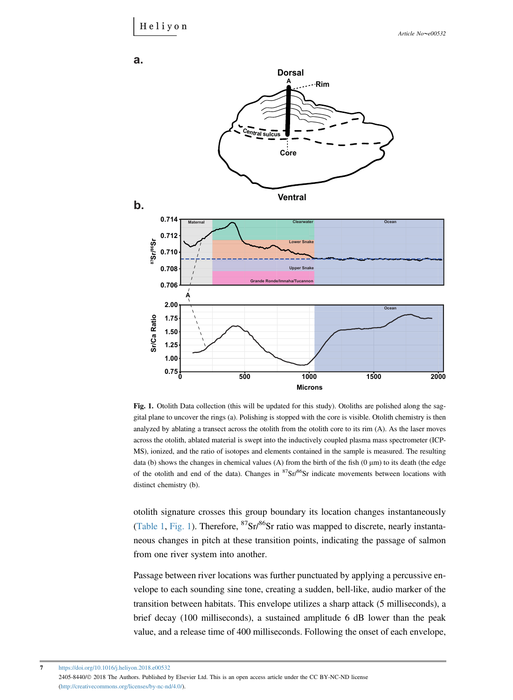<span id="page-6-0"></span>

Fig. 1. Otolith Data collection (this will be updated for this study). Otoliths are polished along the saggital plane to uncover the rings (a). Polishing is stopped with the core is visible. Otolith chemistry is then analyzed by ablating a transect across the otolith from the otolith core to its rim (A). As the laser moves across the otolith, ablated material is swept into the inductively coupled plasma mass spectrometer (ICP-MS), ionized, and the ratio of isotopes and elements contained in the sample is measured. The resulting data (b) shows the changes in chemical values (A) from the birth of the fish (0  $\mu$ m) to its death (the edge of the otolith and end of the data). Changes in  ${}^{87}Sr/{}^{86}Sr$  indicate movements between locations with distinct chemistry (b).

otolith signature crosses this group boundary its location changes instantaneously ([Table 1](#page-7-0), Fig. 1). Therefore,  ${}^{87}Sr/{}^{86}Sr$  ratio was mapped to discrete, nearly instantaneous changes in pitch at these transition points, indicating the passage of salmon from one river system into another.

Passage between river locations was further punctuated by applying a percussive envelope to each sounding sine tone, creating a sudden, bell-like, audio marker of the transition between habitats. This envelope utilizes a sharp attack (5 milliseconds), a brief decay (100 milliseconds), a sustained amplitude 6 dB lower than the peak value, and a release time of 400 milliseconds. Following the onset of each envelope,

<sup>2405-8440/© 2018</sup> The Authors. Published by Elsevier Ltd. This is an open access article under the CC BY-NC-ND license [\(http://creativecommons.org/licenses/by-nc-nd/4.0/](http://creativecommons.org/licenses/by-nc-nd/4.0/)).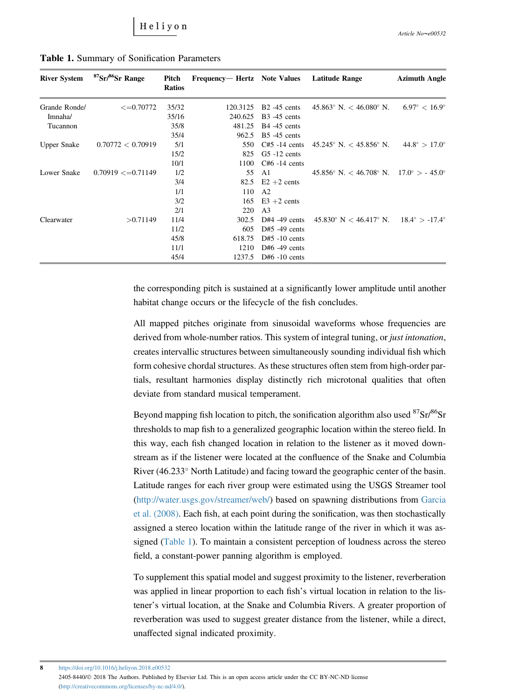# Helivon

| <b>River System</b> | $87Sr$ / $86Sr$ Range | Pitch<br><b>Ratios</b> | Frequency— Hertz Note Values |                  | Latitude Range                                | <b>Azimuth Angle</b>           |
|---------------------|-----------------------|------------------------|------------------------------|------------------|-----------------------------------------------|--------------------------------|
| Grande Ronde/       | $\leq=0.70772$        | 35/32                  | 120.3125                     | $B2 - 45$ cents  | 45.863° N. $<$ 46.080° N.                     | $6.97^{\circ} < 16.9^{\circ}$  |
| Imnaha/             |                       | 35/16                  | 240.625                      | $B3 - 45$ cents  |                                               |                                |
| Tucannon            |                       | 35/8                   | 481.25                       | $B4 - 45$ cents  |                                               |                                |
|                     |                       | 35/4                   | 962.5                        | $B5 - 45$ cents  |                                               |                                |
| <b>Upper Snake</b>  | 0.70772 < 0.70919     | 5/1                    | 550                          | $C#5 - 14$ cents | $45.245^{\circ}$ N. $< 45.856^{\circ}$ N.     | $44.8^{\circ} > 17.0^{\circ}$  |
|                     |                       | 15/2                   | 825                          | $G5 -12$ cents   |                                               |                                |
|                     |                       | 10/1                   | 1100                         | $C#6 - 14$ cents |                                               |                                |
| Lower Snake         | $0.70919 \le 0.71149$ | 1/2                    | 55                           | A1               | 45.856° N, $\lt$ 46.708° N, 17.0° $>$ - 45.0° |                                |
|                     |                       | 3/4                    | 82.5                         | $E2 + 2$ cents   |                                               |                                |
|                     |                       | 1/1                    | 110                          | A <sub>2</sub>   |                                               |                                |
|                     |                       | 3/2                    | 165                          | $E3 + 2$ cents   |                                               |                                |
|                     |                       | 2/1                    | 220                          | A <sub>3</sub>   |                                               |                                |
| Clearwater          | >0.71149              | 11/4                   | 302.5                        | $D#4 - 49$ cents | 45.830° N < 46.417° N.                        | $18.4^{\circ} > -17.4^{\circ}$ |
|                     |                       | 11/2                   | 605                          | $D#5 - 49$ cents |                                               |                                |
|                     |                       | 45/8                   | 618.75                       | $D#5 - 10$ cents |                                               |                                |
|                     |                       | 11/1                   | 1210                         | $D#6 - 49$ cents |                                               |                                |
|                     |                       | 45/4                   | 1237.5                       | $D#6 - 10$ cents |                                               |                                |

<span id="page-7-0"></span>Table 1. Summary of Sonification Parameters

the corresponding pitch is sustained at a significantly lower amplitude until another habitat change occurs or the lifecycle of the fish concludes.

All mapped pitches originate from sinusoidal waveforms whose frequencies are derived from whole-number ratios. This system of integral tuning, or *just intonation*, creates intervallic structures between simultaneously sounding individual fish which form cohesive chordal structures. As these structures often stem from high-order partials, resultant harmonies display distinctly rich microtonal qualities that often deviate from standard musical temperament.

Beyond mapping fish location to pitch, the sonification algorithm also used <sup>87</sup>Sr/<sup>86</sup>Sr thresholds to map fish to a generalized geographic location within the stereo field. In this way, each fish changed location in relation to the listener as it moved downstream as if the listener were located at the confluence of the Snake and Columbia River (46.233° North Latitude) and facing toward the geographic center of the basin. Latitude ranges for each river group were estimated using the USGS Streamer tool (<http://water.usgs.gov/streamer/web/>) based on spawning distributions from [Garcia](#page-22-0) [et al. \(2008\).](#page-22-0) Each fish, at each point during the sonification, was then stochastically assigned a stereo location within the latitude range of the river in which it was assigned (Table 1). To maintain a consistent perception of loudness across the stereo field, a constant-power panning algorithm is employed.

To supplement this spatial model and suggest proximity to the listener, reverberation was applied in linear proportion to each fish's virtual location in relation to the liswas applied in linear proportion to each fish's virtual location in relation to the listener's virtual location, at the Snake and Columbia Rivers. A greater proportion of reverberation was used to suggest greater distance from the listener, while a direct, unaffected signal indicated proximity.

```
2405-8440/© 2018 The Authors. Published by Elsevier Ltd. This is an open access article under the CC BY-NC-ND license
(http://creativecommons.org/licenses/by-nc-nd/4.0/).
```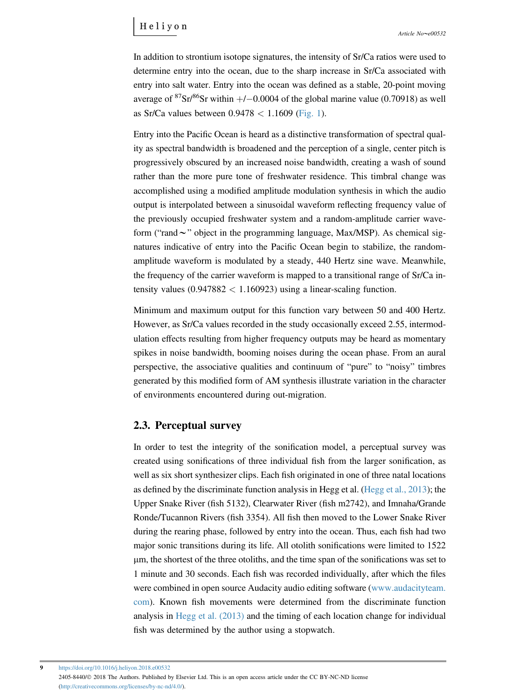In addition to strontium isotope signatures, the intensity of Sr/Ca ratios were used to determine entry into the ocean, due to the sharp increase in Sr/Ca associated with entry into salt water. Entry into the ocean was defined as a stable, 20-point moving average of  ${}^{87}Sr/{}^{86}Sr$  within  $+/-0.0004$  of the global marine value (0.70918) as well as Sr/Ca values between  $0.9478 < 1.1609$  [\(Fig. 1](#page-6-0)).

Entry into the Pacific Ocean is heard as a distinctive transformation of spectral quality as spectral bandwidth is broadened and the perception of a single, center pitch is progressively obscured by an increased noise bandwidth, creating a wash of sound rather than the more pure tone of freshwater residence. This timbral change was accomplished using a modified amplitude modulation synthesis in which the audio output is interpolated between a sinusoidal waveform reflecting frequency value of the previously occupied freshwater system and a random-amplitude carrier waveform ("rand  $\sim$ " object in the programming language, Max/MSP). As chemical signatures indicative of entry into the Pacific Ocean begin to stabilize, the randomamplitude waveform is modulated by a steady, 440 Hertz sine wave. Meanwhile, the frequency of the carrier waveform is mapped to a transitional range of Sr/Ca intensity values  $(0.947882 < 1.160923)$  using a linear-scaling function.

Minimum and maximum output for this function vary between 50 and 400 Hertz. However, as Sr/Ca values recorded in the study occasionally exceed 2.55, intermodulation effects resulting from higher frequency outputs may be heard as momentary spikes in noise bandwidth, booming noises during the ocean phase. From an aural perspective, the associative qualities and continuum of "pure" to "noisy" timbres generated by this modified form of AM synthesis illustrate variation in the character of environments encountered during out-migration.

#### 2.3. Perceptual survey

In order to test the integrity of the sonification model, a perceptual survey was created using sonifications of three individual fish from the larger sonification, as well as six short synthesizer clips. Each fish originated in one of three natal locations as defined by the discriminate function analysis in Hegg et al. [\(Hegg et al., 2013](#page-22-0)); the Upper Snake River (fish 5132), Clearwater River (fish m2742), and Imnaha/Grande Ronde/Tucannon Rivers (fish 3354). All fish then moved to the Lower Snake River during the rearing phase, followed by entry into the ocean. Thus, each fish had two major sonic transitions during its life. All otolith sonifications were limited to 1522 mm, the shortest of the three otoliths, and the time span of the sonifications was set to 1 minute and 30 seconds. Each fish was recorded individually, after which the files were combined in open source Audacity audio editing software [\(www.audacityteam.](http://www.audacityteam.com) [com\)](http://www.audacityteam.com). Known fish movements were determined from the discriminate function analysis in [Hegg et al. \(2013\)](#page-22-0) and the timing of each location change for individual fish was determined by the author using a stopwatch.

```
2405-8440/© 2018 The Authors. Published by Elsevier Ltd. This is an open access article under the CC BY-NC-ND license
(http://creativecommons.org/licenses/by-nc-nd/4.0/).
```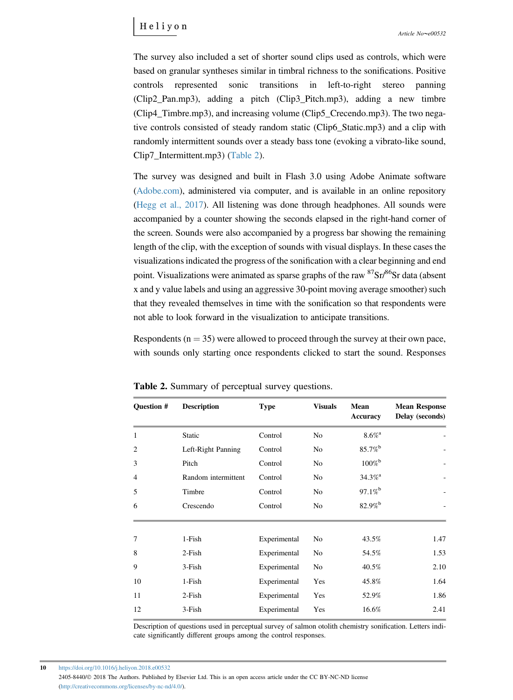<span id="page-9-0"></span>The survey also included a set of shorter sound clips used as controls, which were based on granular syntheses similar in timbral richness to the sonifications. Positive controls represented sonic transitions in left-to-right stereo panning (Clip2\_Pan.mp3), adding a pitch (Clip3\_Pitch.mp3), adding a new timbre (Clip4\_Timbre.mp3), and increasing volume (Clip5\_Crecendo.mp3). The two negative controls consisted of steady random static (Clip6\_Static.mp3) and a clip with randomly intermittent sounds over a steady bass tone (evoking a vibrato-like sound, Clip7 Intermittent.mp3) (Table 2).

The survey was designed and built in Flash 3.0 using Adobe Animate software ([Adobe.com](http://Adobe.com)), administered via computer, and is available in an online repository ([Hegg et al., 2017\)](#page-22-0). All listening was done through headphones. All sounds were accompanied by a counter showing the seconds elapsed in the right-hand corner of the screen. Sounds were also accompanied by a progress bar showing the remaining length of the clip, with the exception of sounds with visual displays. In these cases the visualizations indicated the progress of the sonification with a clear beginning and end point. Visualizations were animated as sparse graphs of the raw <sup>87</sup>Sr/<sup>86</sup>Sr data (absent x and y value labels and using an aggressive 30-point moving average smoother) such that they revealed themselves in time with the sonification so that respondents were not able to look forward in the visualization to anticipate transitions.

Respondents ( $n = 35$ ) were allowed to proceed through the survey at their own pace, with sounds only starting once respondents clicked to start the sound. Responses

| Question #     | <b>Description</b>  | <b>Type</b>  | <b>Visuals</b> | Mean<br><b>Accuracy</b> | <b>Mean Response</b><br>Delay (seconds) |
|----------------|---------------------|--------------|----------------|-------------------------|-----------------------------------------|
| 1              | Static              | Control      | No             | $8.6\%$ <sup>a</sup>    |                                         |
| $\overline{2}$ | Left-Right Panning  | Control      | N <sub>0</sub> | $85.7\%$ <sup>b</sup>   |                                         |
| 3              | Pitch               | Control      | N <sub>0</sub> | $100\%$ <sup>b</sup>    |                                         |
| $\overline{4}$ | Random intermittent | Control      | No             | $34.3\%$ <sup>a</sup>   |                                         |
| 5              | Timbre              | Control      | N <sub>o</sub> | $97.1\%$ <sup>b</sup>   |                                         |
| 6              | Crescendo           | Control      | No             | $82.9\%$ <sup>b</sup>   |                                         |
| 7              | 1-Fish              | Experimental | No             | 43.5%                   | 1.47                                    |
| 8              | $2-Fish$            | Experimental | N <sub>0</sub> | 54.5%                   | 1.53                                    |
| 9              | 3-Fish              | Experimental | No             | 40.5%                   | 2.10                                    |
| 10             | 1-Fish              | Experimental | Yes            | 45.8%                   | 1.64                                    |
| 11             | 2-Fish              | Experimental | Yes            | 52.9%                   | 1.86                                    |
| 12             | 3-Fish              | Experimental | Yes            | 16.6%                   | 2.41                                    |

Table 2. Summary of perceptual survey questions.

Description of questions used in perceptual survey of salmon otolith chemistry sonification. Letters indicate significantly different groups among the control responses.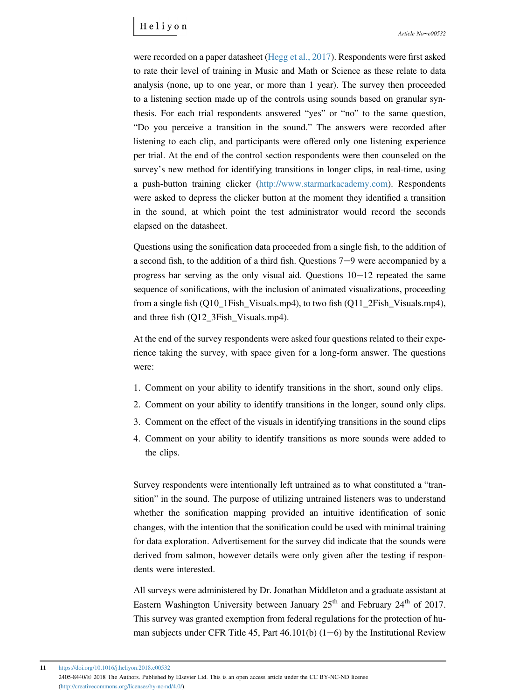were recorded on a paper datasheet [\(Hegg et al., 2017](#page-22-0)). Respondents were first asked to rate their level of training in Music and Math or Science as these relate to data analysis (none, up to one year, or more than 1 year). The survey then proceeded to a listening section made up of the controls using sounds based on granular synto a listening section made up of the controls using sounds based on granular synthesis. For each trial respondents answered "yes" or "no" to the same question, "Do you perceive a transition in the sound." The answers were listening to each clip, and participants were offered only one listening experience per trial. At the end of the control section respondents were then counseled on the survey's new method for identifying transitions in longer clips, in real-time, using a push-button training clicker [\(http://www.starmarkacademy.com\)](http://www.starmarkacademy.com). Respondents were asked to depress the clicker button at the moment they identified a transition in the sound, at which point the test administrator would record the seconds elapsed on the datasheet.

Questions using the sonification data proceeded from a single fish, to the addition of a second fish, to the addition of a third fish. Questions  $7-9$  were accompanied by a progress bar serving as the only visual aid. Questions  $10-12$  repeated the same sequence of sonifications, with the inclusion of animated visualizations, proceeding from a single fish (Q10\_1Fish\_Visuals.mp4), to two fish (Q11\_2Fish\_Visuals.mp4), and three fish (Q12\_3Fish\_Visuals.mp4).

At the end of the survey respondents were asked four questions related to their experience taking the survey, with space given for a long-form answer. The questions were:

- 1. Comment on your ability to identify transitions in the short, sound only clips.
- 2. Comment on your ability to identify transitions in the longer, sound only clips.
- 3. Comment on the effect of the visuals in identifying transitions in the sound clips
- 4. Comment on your ability to identify transitions as more sounds were added to the clips.

Survey respondents were intentionally left untrained as to what constituted a "transition" in the sound. The purpose of utilizing untrained listeners was to understand whether the sonification mapping provided an intuitive identification of sonic changes, with the intention that the sonification could be used with minimal training for data exploration. Advertisement for the survey did indicate that the sounds were derived from salmon, however details were only given after the testing if respondents were interested.

All surveys were administered by Dr. Jonathan Middleton and a graduate assistant at Eastern Washington University between January  $25<sup>th</sup>$  and February  $24<sup>th</sup>$  of 2017. This survey was granted exemption from federal regulations for the protection of human subjects under CFR Title 45, Part 46.101(b)  $(1-6)$  by the Institutional Review

<sup>2405-8440/© 2018</sup> The Authors. Published by Elsevier Ltd. This is an open access article under the CC BY-NC-ND license [\(http://creativecommons.org/licenses/by-nc-nd/4.0/](http://creativecommons.org/licenses/by-nc-nd/4.0/)).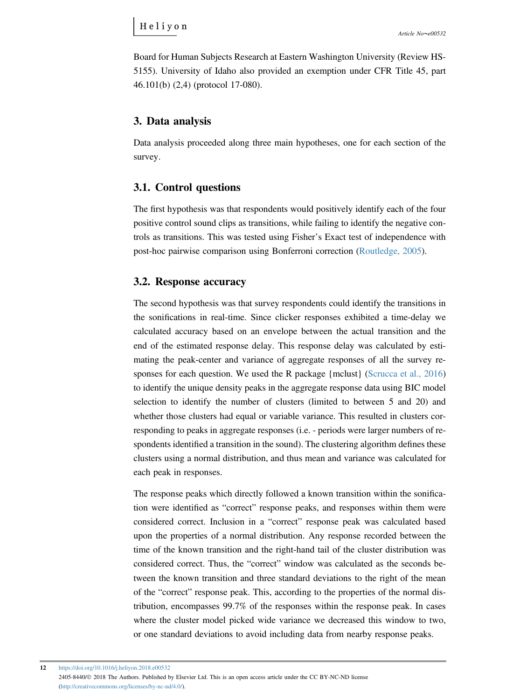Board for Human Subjects Research at Eastern Washington University (Review HS-5155). University of Idaho also provided an exemption under CFR Title 45, part 46.101(b) (2,4) (protocol 17-080).

# 3. Data analysis

Data analysis proceeded along three main hypotheses, one for each section of the survey.

# 3.1. Control questions

The first hypothesis was that respondents would positively identify each of the four positive control sound clips as transitions, while failing to identify the negative con-trols as transitions. This was tested using Fisher's Exact test of independence with post-hoc pairwise comparison using Bonferroni correction [\(Routledge, 2005\)](#page-24-0).

# 3.2. Response accuracy

The second hypothesis was that survey respondents could identify the transitions in the sonifications in real-time. Since clicker responses exhibited a time-delay we calculated accuracy based on an envelope between the actual transition and the end of the estimated response delay. This response delay was calculated by estimating the peak-center and variance of aggregate responses of all the survey responses for each question. We used the R package {mclust} ([Scrucca et al., 2016](#page-24-0)) to identify the unique density peaks in the aggregate response data using BIC model selection to identify the number of clusters (limited to between 5 and 20) and whether those clusters had equal or variable variance. This resulted in clusters corresponding to peaks in aggregate responses (i.e. - periods were larger numbers of respondents identified a transition in the sound). The clustering algorithm defines these clusters using a normal distribution, and thus mean and variance was calculated for each peak in responses.

The response peaks which directly followed a known transition within the sonifica-tion were identified as "correct" response peaks, and responses within them were tion were identified as "correct" response peaks, and responses within them were considered correct. Inclusion in a "correct" response peak was calculated based upon the properties of a normal distribution. Any response recorded between the time of the known transition and the right-hand tail of the cluster distribution was considered correct. Thus, the "correct" window was calculated as the seconds between the known transition and three standard deviations to the right of the mean of the "correct" response peak. This, according to the properties of the normal distribution, encompasses 99.7% of the responses within the response peak. In cases where the cluster model picked wide variance we decreased this window to two, or one standard deviations to avoid including data from nearby response peaks.

<sup>2405-8440/© 2018</sup> The Authors. Published by Elsevier Ltd. This is an open access article under the CC BY-NC-ND license [\(http://creativecommons.org/licenses/by-nc-nd/4.0/](http://creativecommons.org/licenses/by-nc-nd/4.0/)).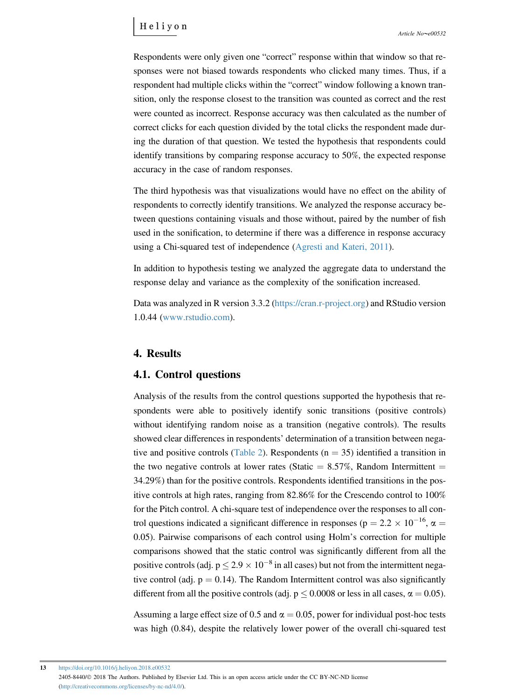Respondents were only given one "correct" response within that window so that responses were not biased towards respondents who clicked many times. Thus, if a respondent had multiple clicks within the "correct" window following a known transition, only the response closest to the transition was counted as correct and the rest were counted as incorrect. Response accuracy was then calculated as the number of correct clicks for each question divided by the total clicks the respondent made during the duration of that question. We tested the hypothesis that respondents could identify transitions by comparing response accuracy to 50%, the expected response accuracy in the case of random responses.

The third hypothesis was that visualizations would have no effect on the ability of respondents to correctly identify transitions. We analyzed the response accuracy between questions containing visuals and those without, paired by the number of fish used in the sonification, to determine if there was a difference in response accuracy using a Chi-squared test of independence [\(Agresti and Kateri, 2011\)](#page-20-0).

In addition to hypothesis testing we analyzed the aggregate data to understand the response delay and variance as the complexity of the sonification increased.

Data was analyzed in R version 3.3.2 (<https://cran.r-project.org>) and RStudio version 1.0.44 ([www.rstudio.com\)](http://www.rstudio.com).

#### 4. Results

#### 4.1. Control questions

Analysis of the results from the control questions supported the hypothesis that respondents were able to positively identify sonic transitions (positive controls) without identifying random noise as a transition (negative controls). The results showed clear differences in respondents' determination of a transition between nega-tive and positive controls [\(Table 2\)](#page-9-0). Respondents ( $n = 35$ ) identified a transition in the two negative controls at lower rates (Static  $= 8.57\%$ , Random Intermittent  $=$ 34.29%) than for the positive controls. Respondents identified transitions in the positive controls at high rates, ranging from 82.86% for the Crescendo control to 100% for the Pitch control. A chi-square test of independence over the responses to all control questions indicated a significant difference in responses ( $p = 2.2 \times 10^{-16}$ ,  $\alpha = 0.05$ ). Pairwise comparisons of each control using Holm's correction for multiple comparisons showed that the static control was significantly different from all the positive controls (adj.  $p < 2.9 \times 10^{-8}$  in all cases) but not from the intermittent negative control (adj.  $p = 0.14$ ). The Random Intermittent control was also significantly different from all the positive controls (adj.  $p \le 0.0008$  or less in all cases,  $\alpha = 0.05$ ).

Assuming a large effect size of 0.5 and  $\alpha = 0.05$ , power for individual post-hoc tests was high (0.84), despite the relatively lower power of the overall chi-squared test

<sup>2405-8440/© 2018</sup> The Authors. Published by Elsevier Ltd. This is an open access article under the CC BY-NC-ND license [\(http://creativecommons.org/licenses/by-nc-nd/4.0/](http://creativecommons.org/licenses/by-nc-nd/4.0/)).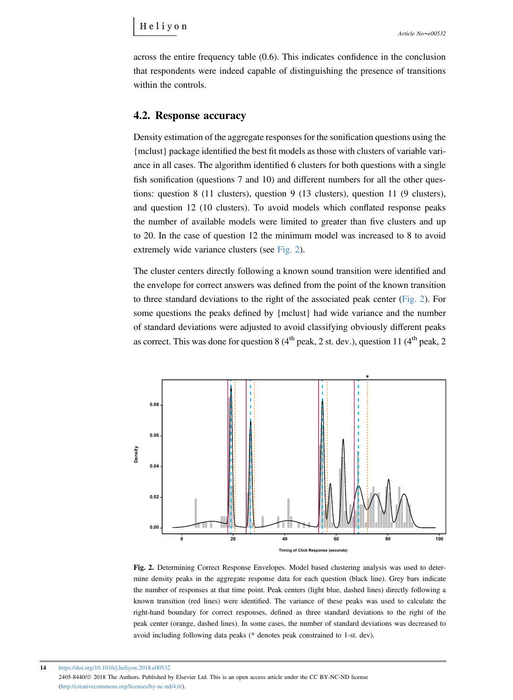<span id="page-13-0"></span>across the entire frequency table (0.6). This indicates confidence in the conclusion that respondents were indeed capable of distinguishing the presence of transitions within the controls.

#### 4.2. Response accuracy

Density estimation of the aggregate responses for the sonification questions using the {mclust} package identified the best fit models as those with clusters of variable variance in all cases. The algorithm identified 6 clusters for both questions with a single fish sonification (questions 7 and 10) and different numbers for all the other questions: question 8 (11 clusters), question 9 (13 clusters), question 11 (9 clusters), and question 12 (10 clusters). To avoid models which conflated response peaks the number of available models were limited to greater than five clusters and up to 20. In the case of question 12 the minimum model was increased to 8 to avoid extremely wide variance clusters (see Fig. 2).

The cluster centers directly following a known sound transition were identified and the envelope for correct answers was defined from the point of the known transition to three standard deviations to the right of the associated peak center (Fig. 2). For some questions the peaks defined by {mclust} had wide variance and the number of standard deviations were adjusted to avoid classifying obviously different peaks as correct. This was done for question 8 ( $4<sup>th</sup>$  peak, 2 st. dev.), question 11 ( $4<sup>th</sup>$  peak, 2



Fig. 2. Determining Correct Response Envelopes. Model based clustering analysis was used to determine density peaks in the aggregate response data for each question (black line). Grey bars indicate the number of responses at that time point. Peak centers (light blue, dashed lines) directly following a known transition (red lines) were identified. The variance of these peaks was used to calculate the right-hand boundary for correct responses, defined as three standard deviations to the right of the peak center (orange, dashed lines). In some cases, the number of standard deviations was decreased to avoid including following data peaks (\* denotes peak constrained to 1-st. dev).

14 <https://doi.org/10.1016/j.heliyon.2018.e00532>

2405-8440/© 2018 The Authors. Published by Elsevier Ltd. This is an open access article under the CC BY-NC-ND license [\(http://creativecommons.org/licenses/by-nc-nd/4.0/](http://creativecommons.org/licenses/by-nc-nd/4.0/)).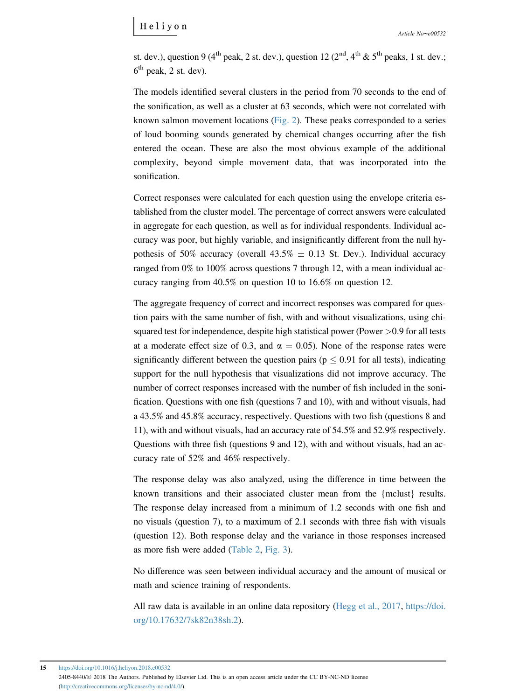st. dev.), question 9 (4<sup>th</sup> peak, 2 st. dev.), question 12 (2<sup>nd</sup>, 4<sup>th</sup> & 5<sup>th</sup> peaks, 1 st. dev.;  $6<sup>th</sup>$  peak, 2 st. dev).

The models identified several clusters in the period from 70 seconds to the end of the sonification, as well as a cluster at 63 seconds, which were not correlated with known salmon movement locations [\(Fig. 2\)](#page-13-0). These peaks corresponded to a series of loud booming sounds generated by chemical changes occurring after the fish entered the ocean. These are also the most obvious example of the additional complexity, beyond simple movement data, that was incorporated into the sonification.

Correct responses were calculated for each question using the envelope criteria established from the cluster model. The percentage of correct answers were calculated in aggregate for each question, as well as for individual respondents. Individual accuracy was poor, but highly variable, and insignificantly different from the null hypothesis of 50% accuracy (overall 43.5%  $\pm$  0.13 St. Dev.). Individual accuracy ranged from 0% to 100% across questions 7 through 12, with a mean individual accuracy ranging from 40.5% on question 10 to 16.6% on question 12.

The aggregate frequency of correct and incorrect responses was compared for question pairs with the same number of fish, with and without visualizations, using chisquared test for independence, despite high statistical power (Power >0.9 for all tests at a moderate effect size of 0.3, and  $\alpha = 0.05$ ). None of the response rates were significantly different between the question pairs ( $p \leq 0.91$  for all tests), indicating support for the null hypothesis that visualizations did not improve accuracy. The number of correct responses increased with the number of fish included in the sonification. Questions with one fish (questions 7 and 10), with and without visuals, had a 43.5% and 45.8% accuracy, respectively. Questions with two fish (questions 8 and 11), with and without visuals, had an accuracy rate of 54.5% and 52.9% respectively. Questions with three fish (questions 9 and 12), with and without visuals, had an accuracy rate of 52% and 46% respectively.

The response delay was also analyzed, using the difference in time between the known transitions and their associated cluster mean from the {mclust} results. The response delay increased from a minimum of 1.2 seconds with one fish and no visuals (question 7), to a maximum of 2.1 seconds with three fish with visuals (question 12). Both response delay and the variance in those responses increased as more fish were added ([Table 2](#page-9-0), [Fig. 3](#page-15-0)).

No difference was seen between individual accuracy and the amount of musical or math and science training of respondents.

All raw data is available in an online data repository ([Hegg et al., 2017,](#page-22-0) [https://doi.](https://doi.org/10.17632/7sk82n38sh.2) [org/10.17632/7sk82n38sh.2\)](https://doi.org/10.17632/7sk82n38sh.2).

15 <https://doi.org/10.1016/j.heliyon.2018.e00532> 2405-8440/© 2018 The Authors. Published by Elsevier Ltd. This is an open access article under the CC BY-NC-ND license [\(http://creativecommons.org/licenses/by-nc-nd/4.0/](http://creativecommons.org/licenses/by-nc-nd/4.0/)).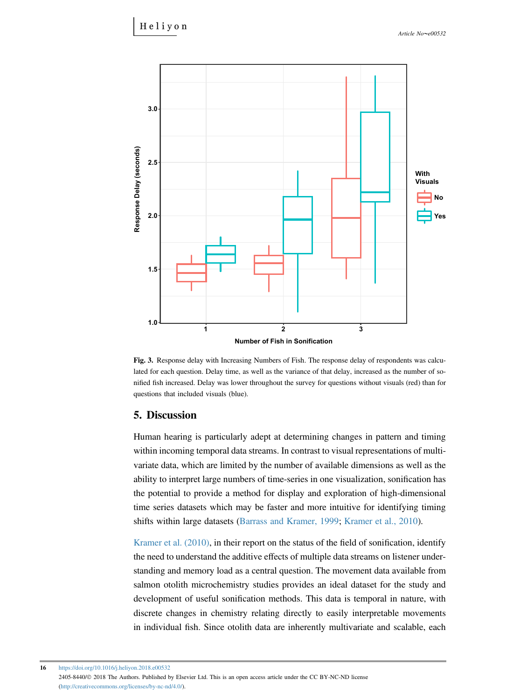<span id="page-15-0"></span>

Fig. 3. Response delay with Increasing Numbers of Fish. The response delay of respondents was calculated for each question. Delay time, as well as the variance of that delay, increased as the number of sonified fish increased. Delay was lower throughout the survey for questions without visuals (red) than for questions that included visuals (blue).

#### 5. Discussion

Human hearing is particularly adept at determining changes in pattern and timing within incoming temporal data streams. In contrast to visual representations of multivariate data, which are limited by the number of available dimensions as well as the ability to interpret large numbers of time-series in one visualization, sonification has the potential to provide a method for display and exploration of high-dimensional time series datasets which may be faster and more intuitive for identifying timing shifts within large datasets [\(Barrass and Kramer, 1999;](#page-20-0) [Kramer et al., 2010\)](#page-23-0).

[Kramer et al. \(2010\)](#page-23-0), in their report on the status of the field of sonification, identify the need to understand the additive effects of multiple data streams on listener understanding and memory load as a central question. The movement data available from salmon otolith microchemistry studies provides an ideal dataset for the study and development of useful sonification methods. This data is temporal in nature, with discrete changes in chemistry relating directly to easily interpretable movements in individual fish. Since otolith data are inherently multivariate and scalable, each

<sup>2405-8440/© 2018</sup> The Authors. Published by Elsevier Ltd. This is an open access article under the CC BY-NC-ND license [\(http://creativecommons.org/licenses/by-nc-nd/4.0/](http://creativecommons.org/licenses/by-nc-nd/4.0/)).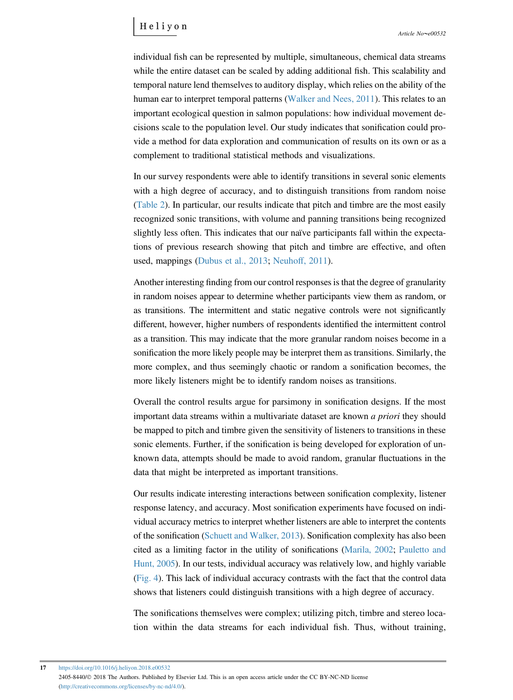individual fish can be represented by multiple, simultaneous, chemical data streams while the entire dataset can be scaled by adding additional fish. This scalability and temporal nature lend themselves to auditory display, which relies on the ability of the human ear to interpret temporal patterns [\(Walker and Nees, 2011\)](#page-24-0). This relates to an important ecological question in salmon populations: how individual movement decisions scale to the population level. Our study indicates that sonification could provide a method for data exploration and communication of results on its own or as a complement to traditional statistical methods and visualizations.

In our survey respondents were able to identify transitions in several sonic elements with a high degree of accuracy, and to distinguish transitions from random noise ([Table 2\)](#page-9-0). In particular, our results indicate that pitch and timbre are the most easily recognized sonic transitions, with volume and panning transitions being recognized slightly less often. This indicates that our naïve participants fall within the expectations of previous research showing that pitch and timbre are effective, and often used, mappings [\(Dubus et al., 2013](#page-21-0); [Neuho](#page-23-0)ff, 2011).

Another interesting finding from our control responses is that the degree of granularity in random noises appear to determine whether participants view them as random, or as transitions. The intermittent and static negative controls were not significantly different, however, higher numbers of respondents identified the intermittent control as a transition. This may indicate that the more granular random noises become in a sonification the more likely people may be interpret them as transitions. Similarly, the more complex, and thus seemingly chaotic or random a sonification becomes, the more likely listeners might be to identify random noises as transitions.

Overall the control results argue for parsimony in sonification designs. If the most important data streams within a multivariate dataset are known a priori they should be mapped to pitch and timbre given the sensitivity of listeners to transitions in these sonic elements. Further, if the sonification is being developed for exploration of unknown data, attempts should be made to avoid random, granular fluctuations in the data that might be interpreted as important transitions.

Our results indicate interesting interactions between sonification complexity, listener response latency, and accuracy. Most sonification experiments have focused on individual accuracy metrics to interpret whether listeners are able to interpret the contents of the sonification [\(Schuett and Walker, 2013](#page-24-0)). Sonification complexity has also been cited as a limiting factor in the utility of sonifications ([Marila, 2002](#page-23-0); [Pauletto and](#page-23-0) [Hunt, 2005](#page-23-0)). In our tests, individual accuracy was relatively low, and highly variable ([Fig. 4](#page-17-0)). This lack of individual accuracy contrasts with the fact that the control data shows that listeners could distinguish transitions with a high degree of accuracy.

The sonifications themselves were complex; utilizing pitch, timbre and stereo location within the data streams for each individual fish. Thus, without training,

<sup>2405-8440/© 2018</sup> The Authors. Published by Elsevier Ltd. This is an open access article under the CC BY-NC-ND license [\(http://creativecommons.org/licenses/by-nc-nd/4.0/](http://creativecommons.org/licenses/by-nc-nd/4.0/)).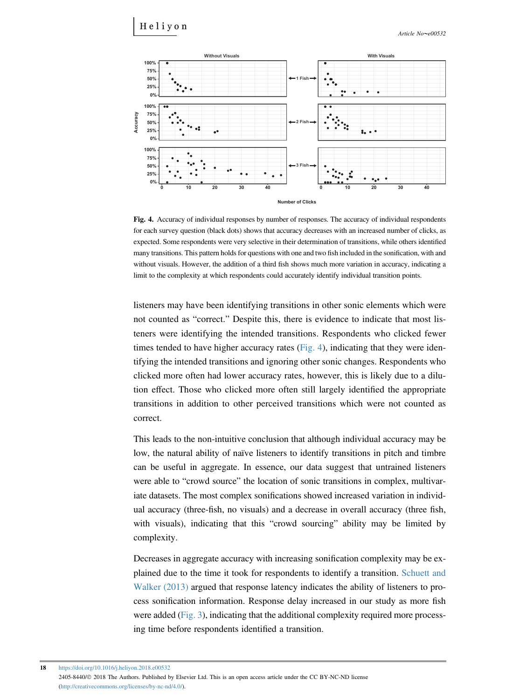<span id="page-17-0"></span>

Fig. 4. Accuracy of individual responses by number of responses. The accuracy of individual respondents for each survey question (black dots) shows that accuracy decreases with an increased number of clicks, as expected. Some respondents were very selective in their determination of transitions, while others identified many transitions. This pattern holds for questions with one and two fish included in the sonification, with and without visuals. However, the addition of a third fish shows much more variation in accuracy, indicating a limit to the complexity at which respondents could accurately identify individual transition points.

listeners may have been identifying transitions in other sonic elements which were not counted as "correct." Despite this, there is evidence to indicate that most listeners were identifying the intended transitions. Respondents who clicked fewer times tended to have higher accuracy rates  $(Fig. 4)$ , indicating that they were identifying the intended transitions and ignoring other sonic changes. Respondents who clicked more often had lower accuracy rates, however, this is likely due to a dilution effect. Those who clicked more often still largely identified the appropriate transitions in addition to other perceived transitions which were not counted as correct.

This leads to the non-intuitive conclusion that although individual accuracy may be low, the natural ability of naïve listeners to identify transitions in pitch and timbre can be useful in aggregate. In essence, our data suggest that untrained listeners were able to "crowd source" the location of sonic transitions in complex, multivariate datasets. The most complex sonifications showed increased variation in individual accuracy (three-fish, no visuals) and a decrease in overall accuracy (three fish, with visuals), indicating that this "crowd sourcing" ability may be limited by complexity.

Decreases in aggregate accuracy with increasing sonification complexity may be explained due to the time it took for respondents to identify a transition. [Schuett and](#page-24-0) [Walker \(2013\)](#page-24-0) argued that response latency indicates the ability of listeners to process sonification information. Response delay increased in our study as more fish were added ([Fig. 3\)](#page-15-0), indicating that the additional complexity required more processing time before respondents identified a transition.

<sup>2405-8440/© 2018</sup> The Authors. Published by Elsevier Ltd. This is an open access article under the CC BY-NC-ND license [\(http://creativecommons.org/licenses/by-nc-nd/4.0/](http://creativecommons.org/licenses/by-nc-nd/4.0/)).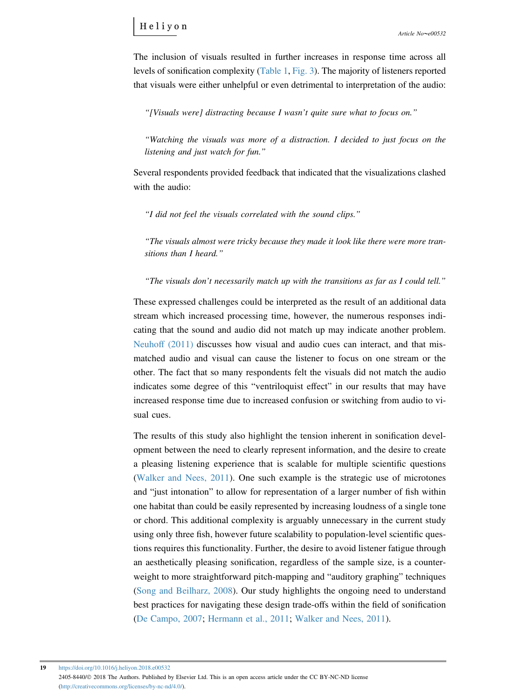The inclusion of visuals resulted in further increases in response time across all levels of sonification complexity [\(Table 1,](#page-7-0) [Fig. 3\)](#page-15-0). The majority of listeners reported that visuals were either unhelpful or even detrimental to interpretation of the audio:

"[Visuals were] distracting because I wasn't quite sure what to focus on."

Watching the visuals was more of a distraction. I decided to just focus on the listening and just watch for fun."

Several respondents provided feedback that indicated that the visualizations clashed with the audio:

"I did not feel the visuals correlated with the sound clips."

The visuals almost were tricky because they made it look like there were more transitions than I heard."

The visuals don't necessarily match up with the transitions as far as I could tell."

These expressed challenges could be interpreted as the result of an additional data stream which increased processing time, however, the numerous responses indicating that the sound and audio did not match up may indicate another problem. Neuhoff [\(2011\)](#page-23-0) discusses how visual and audio cues can interact, and that mismatched audio and visual can cause the listener to focus on one stream or the other. The fact that so many respondents felt the visuals did not match the audio indicates some degree of this "ventriloquist effect" in our results that may have increased response time due to increased confusion or switching from audio to visual cues.

The results of this study also highlight the tension inherent in sonification development between the need to clearly represent information, and the desire to create a pleasing listening experience that is scalable for multiple scientific questions ([Walker and Nees, 2011\)](#page-24-0). One such example is the strategic use of microtones and "just intonation" to allow for representation of a larger number of fish within one habitat than could be easily represented by increasing loudness of a single tone or chord. This additional complexity is arguably unnecessary in the current study using only three fish, however future scalability to population-level scientific questions requires this functionality. Further, the desire to avoid listener fatigue through an aesthetically pleasing sonification, regardless of the sample size, is a counterweight to more straightforward pitch-mapping and "auditory graphing" techniques ([Song and Beilharz, 2008\)](#page-24-0). Our study highlights the ongoing need to understand best practices for navigating these design trade-offs within the field of sonification ([De Campo, 2007;](#page-21-0) [Hermann et al., 2011](#page-22-0); [Walker and Nees, 2011](#page-24-0)).

<sup>2405-8440/© 2018</sup> The Authors. Published by Elsevier Ltd. This is an open access article under the CC BY-NC-ND license [\(http://creativecommons.org/licenses/by-nc-nd/4.0/](http://creativecommons.org/licenses/by-nc-nd/4.0/)).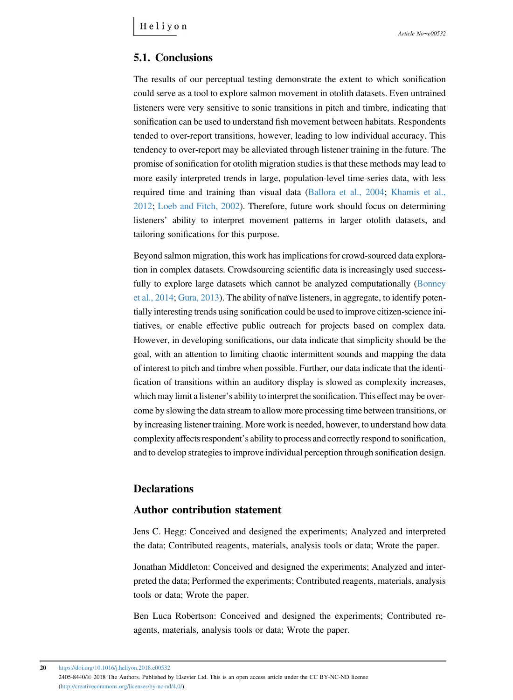Article No~e00532

# 5.1. Conclusions

The results of our perceptual testing demonstrate the extent to which sonification could serve as a tool to explore salmon movement in otolith datasets. Even untrained listeners were very sensitive to sonic transitions in pitch and timbre, indicating that sonification can be used to understand fish movement between habitats. Respondents tended to over-report transitions, however, leading to low individual accuracy. This tendency to over-report may be alleviated through listener training in the future. The promise of sonification for otolith migration studies is that these methods may lead to more easily interpreted trends in large, population-level time-series data, with less required time and training than visual data [\(Ballora et al., 2004](#page-20-0); [Khamis et al.,](#page-23-0) [2012;](#page-23-0) [Loeb and Fitch, 2002\)](#page-23-0). Therefore, future work should focus on determining listeners' ability to interpret movement patterns in larger otolith datasets, and tailoring sonifications for this purpose.

Beyond salmon migration, this work has implications for crowd-sourced data exploration in complex datasets. Crowdsourcing scientific data is increasingly used successfully to explore large datasets which cannot be analyzed computationally ([Bonney](#page-20-0) [et al., 2014](#page-20-0); [Gura, 2013\)](#page-22-0). The ability of naïve listeners, in aggregate, to identify potentially interesting trends using sonification could be used to improve citizen-science initiatives, or enable effective public outreach for projects based on complex data. However, in developing sonifications, our data indicate that simplicity should be the goal, with an attention to limiting chaotic intermittent sounds and mapping the data of interest to pitch and timbre when possible. Further, our data indicate that the identification of transitions within an auditory display is slowed as complexity increases, which may limit a listener's ability to interpret the sonification. This effect may be overcome by slowing the data stream to allow more processing time between transitions, or by increasing listener training. More work is needed, however, to understand how data complexity affects respondent's ability to process and correctly respond to sonification, and to develop strategies to improve individual perception through sonification design.

# **Declarations**

# Author contribution statement

Jens C. Hegg: Conceived and designed the experiments; Analyzed and interpreted the data; Contributed reagents, materials, analysis tools or data; Wrote the paper.

Jonathan Middleton: Conceived and designed the experiments; Analyzed and interpreted the data; Performed the experiments; Contributed reagents, materials, analysis tools or data; Wrote the paper.

Ben Luca Robertson: Conceived and designed the experiments; Contributed reagents, materials, analysis tools or data; Wrote the paper.

<sup>2405-8440/© 2018</sup> The Authors. Published by Elsevier Ltd. This is an open access article under the CC BY-NC-ND license [\(http://creativecommons.org/licenses/by-nc-nd/4.0/](http://creativecommons.org/licenses/by-nc-nd/4.0/)).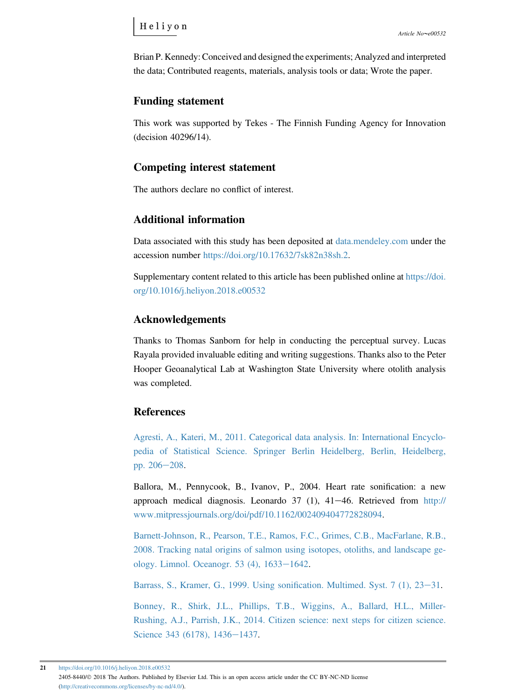<span id="page-20-0"></span>Brian P. Kennedy: Conceived and designed the experiments; Analyzed and interpreted the data; Contributed reagents, materials, analysis tools or data; Wrote the paper.

#### Funding statement

This work was supported by Tekes - The Finnish Funding Agency for Innovation (decision 40296/14).

### Competing interest statement

The authors declare no conflict of interest.

# Additional information

Data associated with this study has been deposited at [data.mendeley.com](http://data.mendeley.com) under the accession number <https://doi.org/10.17632/7sk82n38sh.2>.

Supplementary content related to this article has been published online at [https://doi.](https://doi.org/10.1016/j.heliyon.2018.e00532) [org/10.1016/j.heliyon.2018.e00532](https://doi.org/10.1016/j.heliyon.2018.e00532)

#### Acknowledgements

Thanks to Thomas Sanborn for help in conducting the perceptual survey. Lucas Rayala provided invaluable editing and writing suggestions. Thanks also to the Peter Hooper Geoanalytical Lab at Washington State University where otolith analysis was completed.

#### **References**

[Agresti, A., Kateri, M., 2011. Categorical data analysis. In: International Encyclo](http://refhub.elsevier.com/S2405-8440(17)31718-8/sref1)[pedia of Statistical Science. Springer Berlin Heidelberg, Berlin, Heidelberg,](http://refhub.elsevier.com/S2405-8440(17)31718-8/sref1) [pp. 206](http://refhub.elsevier.com/S2405-8440(17)31718-8/sref1)-[208.](http://refhub.elsevier.com/S2405-8440(17)31718-8/sref1)

Ballora, M., Pennycook, B., Ivanov, P., 2004. Heart rate sonification: a new approach medical diagnosis. Leonardo 37 (1),  $41-46$ . Retrieved from [http://](http://www.mitpressjournals.org/doi/pdf/10.1162/002409404772828094) [www.mitpressjournals.org/doi/pdf/10.1162/002409404772828094.](http://www.mitpressjournals.org/doi/pdf/10.1162/002409404772828094)

[Barnett-Johnson, R., Pearson, T.E., Ramos, F.C., Grimes, C.B., MacFarlane, R.B.,](http://refhub.elsevier.com/S2405-8440(17)31718-8/sref3) [2008. Tracking natal origins of salmon using isotopes, otoliths, and landscape ge](http://refhub.elsevier.com/S2405-8440(17)31718-8/sref3)[ology. Limnol. Oceanogr. 53 \(4\), 1633](http://refhub.elsevier.com/S2405-8440(17)31718-8/sref3)-[1642](http://refhub.elsevier.com/S2405-8440(17)31718-8/sref3).

[Barrass, S., Kramer, G., 1999. Using soni](http://refhub.elsevier.com/S2405-8440(17)31718-8/sref4)fication. Multimed. Syst.  $7(1)$ ,  $23-31$ .

[Bonney, R., Shirk, J.L., Phillips, T.B., Wiggins, A., Ballard, H.L., Miller-](http://refhub.elsevier.com/S2405-8440(17)31718-8/sref5)[Rushing, A.J., Parrish, J.K., 2014. Citizen science: next steps for citizen science.](http://refhub.elsevier.com/S2405-8440(17)31718-8/sref5) [Science 343 \(6178\), 1436](http://refhub.elsevier.com/S2405-8440(17)31718-8/sref5)-[1437.](http://refhub.elsevier.com/S2405-8440(17)31718-8/sref5)

<sup>21</sup> <https://doi.org/10.1016/j.heliyon.2018.e00532>

<sup>2405-8440/© 2018</sup> The Authors. Published by Elsevier Ltd. This is an open access article under the CC BY-NC-ND license [\(http://creativecommons.org/licenses/by-nc-nd/4.0/](http://creativecommons.org/licenses/by-nc-nd/4.0/)).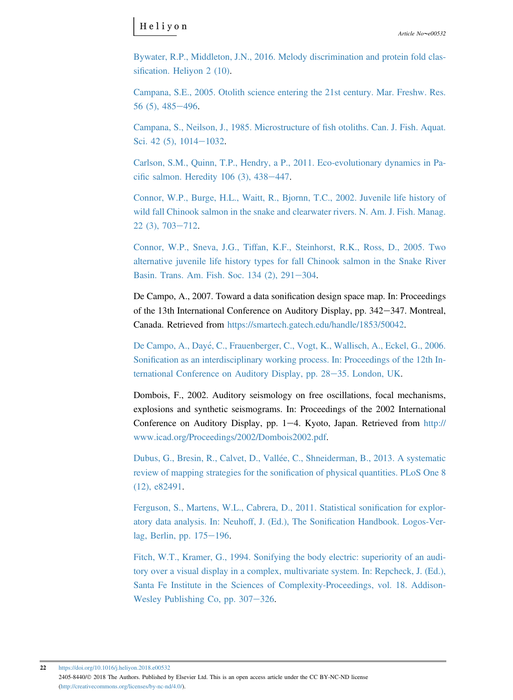<span id="page-21-0"></span>[Bywater, R.P., Middleton, J.N., 2016. Melody discrimination and protein fold clas](http://refhub.elsevier.com/S2405-8440(17)31718-8/sref6)sifi[cation. Heliyon 2 \(10\).](http://refhub.elsevier.com/S2405-8440(17)31718-8/sref6)

[Campana, S.E., 2005. Otolith science entering the 21st century. Mar. Freshw. Res.](http://refhub.elsevier.com/S2405-8440(17)31718-8/sref7) [56 \(5\), 485](http://refhub.elsevier.com/S2405-8440(17)31718-8/sref7)-[496.](http://refhub.elsevier.com/S2405-8440(17)31718-8/sref7)

[Campana, S., Neilson, J., 1985. Microstructure of](http://refhub.elsevier.com/S2405-8440(17)31718-8/sref8) fish otoliths. Can. J. Fish. Aquat. [Sci. 42 \(5\), 1014](http://refhub.elsevier.com/S2405-8440(17)31718-8/sref8)-[1032](http://refhub.elsevier.com/S2405-8440(17)31718-8/sref8).

[Carlson, S.M., Quinn, T.P., Hendry, a P., 2011. Eco-evolutionary dynamics in Pa](http://refhub.elsevier.com/S2405-8440(17)31718-8/sref9)cific salmon. Heredity  $106$  (3),  $438-447$  $438-447$ .

[Connor, W.P., Burge, H.L., Waitt, R., Bjornn, T.C., 2002. Juvenile life history of](http://refhub.elsevier.com/S2405-8440(17)31718-8/sref10) [wild fall Chinook salmon in the snake and clearwater rivers. N. Am. J. Fish. Manag.](http://refhub.elsevier.com/S2405-8440(17)31718-8/sref10)  $22$  (3),  $703 - 712$ .

Connor, W.P., Sneva, J.G., Tiff[an, K.F., Steinhorst, R.K., Ross, D., 2005. Two](http://refhub.elsevier.com/S2405-8440(17)31718-8/sref11) [alternative juvenile life history types for fall Chinook salmon in the Snake River](http://refhub.elsevier.com/S2405-8440(17)31718-8/sref11) Basin. Trans. Am. Fish. Soc.  $134$  (2),  $291-304$ .

De Campo, A., 2007. Toward a data sonification design space map. In: Proceedings of the 13th International Conference on Auditory Display, pp.  $342-347$ . Montreal, Canada. Retrieved from [https://smartech.gatech.edu/handle/1853/50042.](https://smartech.gatech.edu/handle/1853/50042)

[De Campo, A., Day](http://refhub.elsevier.com/S2405-8440(17)31718-8/sref13)e[, C., Frauenberger, C., Vogt, K., Wallisch, A., Eckel, G., 2006.](http://refhub.elsevier.com/S2405-8440(17)31718-8/sref13) Sonifi[cation as an interdisciplinary working process. In: Proceedings of the 12th In](http://refhub.elsevier.com/S2405-8440(17)31718-8/sref13)[ternational Conference on Auditory Display, pp. 28](http://refhub.elsevier.com/S2405-8440(17)31718-8/sref13)–[35. London, UK](http://refhub.elsevier.com/S2405-8440(17)31718-8/sref13).

Dombois, F., 2002. Auditory seismology on free oscillations, focal mechanisms, explosions and synthetic seismograms. In: Proceedings of the 2002 International Conference on Auditory Display, pp. 1-4. Kyoto, Japan. Retrieved from [http://](http://www.icad.org/Proceedings/2002/Dombois2002.pdf) [www.icad.org/Proceedings/2002/Dombois2002.pdf](http://www.icad.org/Proceedings/2002/Dombois2002.pdf).

[Dubus, G., Bresin, R., Calvet, D., Vall](http://refhub.elsevier.com/S2405-8440(17)31718-8/sref15)e[e, C., Shneiderman, B., 2013. A systematic](http://refhub.elsevier.com/S2405-8440(17)31718-8/sref15) review of mapping strategies for the sonifi[cation of physical quantities. PLoS One 8](http://refhub.elsevier.com/S2405-8440(17)31718-8/sref15) [\(12\), e82491](http://refhub.elsevier.com/S2405-8440(17)31718-8/sref15).

[Ferguson, S., Martens, W.L., Cabrera, D., 2011. Statistical soni](http://refhub.elsevier.com/S2405-8440(17)31718-8/sref16)fication for explor[atory data analysis. In: Neuho](http://refhub.elsevier.com/S2405-8440(17)31718-8/sref16)ff, J. (Ed.), The Sonification Handbook. Logos-Verlag, Berlin, pp.  $175-196$  $175-196$ .

[Fitch, W.T., Kramer, G., 1994. Sonifying the body electric: superiority of an audi](http://refhub.elsevier.com/S2405-8440(17)31718-8/sref17)[tory over a visual display in a complex, multivariate system. In: Repcheck, J. \(Ed.\),](http://refhub.elsevier.com/S2405-8440(17)31718-8/sref17) [Santa Fe Institute in the Sciences of Complexity-Proceedings, vol. 18. Addison-](http://refhub.elsevier.com/S2405-8440(17)31718-8/sref17)Wesley Publishing Co, pp.  $307-326$  $307-326$ .

22 <https://doi.org/10.1016/j.heliyon.2018.e00532> 2405-8440/© 2018 The Authors. Published by Elsevier Ltd. This is an open access article under the CC BY-NC-ND license [\(http://creativecommons.org/licenses/by-nc-nd/4.0/](http://creativecommons.org/licenses/by-nc-nd/4.0/)).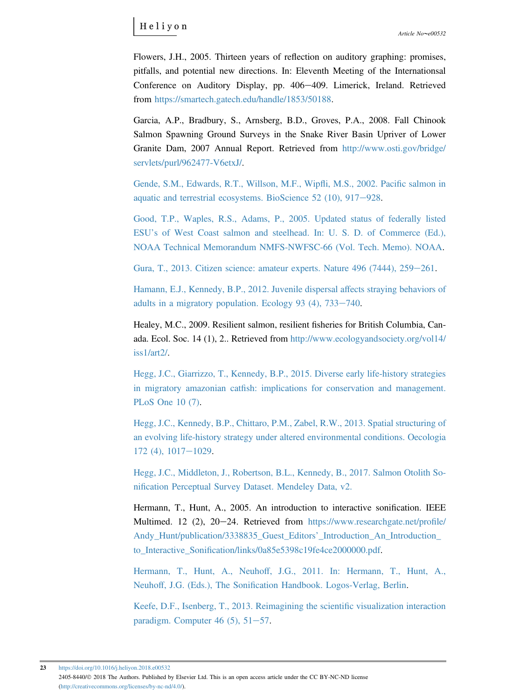<span id="page-22-0"></span>Flowers, J.H., 2005. Thirteen years of reflection on auditory graphing: promises, pitfalls, and potential new directions. In: Eleventh Meeting of the Internationsal Conference on Auditory Display, pp. 406-409. Limerick, Ireland. Retrieved from [https://smartech.gatech.edu/handle/1853/50188.](https://smartech.gatech.edu/handle/1853/50188)

Garcia, A.P., Bradbury, S., Arnsberg, B.D., Groves, P.A., 2008. Fall Chinook Salmon Spawning Ground Surveys in the Snake River Basin Upriver of Lower Granite Dam, 2007 Annual Report. Retrieved from [http://www.osti.gov/bridge/](http://www.osti.gov/bridge/servlets/purl/962477-V6etxJ/) [servlets/purl/962477-V6etxJ/.](http://www.osti.gov/bridge/servlets/purl/962477-V6etxJ/)

[Gende, S.M., Edwards, R.T., Willson, M.F., Wip](http://refhub.elsevier.com/S2405-8440(17)31718-8/sref20)fli, M.S., 2002. Pacific salmon in aquatic and terrestrial ecosystems. BioScience  $52$  (10),  $917-928$  $917-928$ .

[Good, T.P., Waples, R.S., Adams, P., 2005. Updated status of federally listed](http://refhub.elsevier.com/S2405-8440(17)31718-8/sref21) ESU'[s of West Coast salmon and steelhead. In: U. S. D. of Commerce \(Ed.\),](http://refhub.elsevier.com/S2405-8440(17)31718-8/sref21) [NOAA Technical Memorandum NMFS-NWFSC-66 \(Vol. Tech. Memo\). NOAA.](http://refhub.elsevier.com/S2405-8440(17)31718-8/sref21)

Gura, T., 2013. Citizen science: amateur experts. Nature  $496$  (7444),  $259-261$ .

[Hamann, E.J., Kennedy, B.P., 2012. Juvenile dispersal a](http://refhub.elsevier.com/S2405-8440(17)31718-8/sref23)ffects straying behaviors of adults in a migratory population. Ecology 93  $(4)$ , 733-[740](http://refhub.elsevier.com/S2405-8440(17)31718-8/sref23).

Healey, M.C., 2009. Resilient salmon, resilient fisheries for British Columbia, Canada. Ecol. Soc. 14 (1), 2.. Retrieved from [http://www.ecologyandsociety.org/vol14/](http://www.ecologyandsociety.org/vol14/iss1/art2/) [iss1/art2/.](http://www.ecologyandsociety.org/vol14/iss1/art2/)

[Hegg, J.C., Giarrizzo, T., Kennedy, B.P., 2015. Diverse early life-history strategies](http://refhub.elsevier.com/S2405-8440(17)31718-8/sref25) in migratory amazonian catfi[sh: implications for conservation and management.](http://refhub.elsevier.com/S2405-8440(17)31718-8/sref25) [PLoS One 10 \(7\).](http://refhub.elsevier.com/S2405-8440(17)31718-8/sref25)

[Hegg, J.C., Kennedy, B.P., Chittaro, P.M., Zabel, R.W., 2013. Spatial structuring of](http://refhub.elsevier.com/S2405-8440(17)31718-8/sref26) [an evolving life-history strategy under altered environmental conditions. Oecologia](http://refhub.elsevier.com/S2405-8440(17)31718-8/sref26)  $172$  (4),  $1017-1029$ .

[Hegg, J.C., Middleton, J., Robertson, B.L., Kennedy, B., 2017. Salmon Otolith So](http://refhub.elsevier.com/S2405-8440(17)31718-8/sref27)nifi[cation Perceptual Survey Dataset. Mendeley Data, v2.](http://refhub.elsevier.com/S2405-8440(17)31718-8/sref27)

Hermann, T., Hunt, A., 2005. An introduction to interactive sonification. IEEE Multimed. 12 (2),  $20-24$ . Retrieved from [https://www.researchgate.net/pro](https://www.researchgate.net/profile/Andy_Hunt/publication/3338835_Guest_Editors%27_Introduction_An_Introduction_to_Interactive_Sonification/links/0a85e5398c19fe4ce2000000.pdf)file/ Andy Hunt/publication/3338835 Guest Editors' Introduction An Introduction to Interactive Sonifi[cation/links/0a85e5398c19fe4ce2000000.pdf.](https://www.researchgate.net/profile/Andy_Hunt/publication/3338835_Guest_Editors%27_Introduction_An_Introduction_to_Interactive_Sonification/links/0a85e5398c19fe4ce2000000.pdf)

Hermann, T., Hunt, A., Neuhoff[, J.G., 2011. In: Hermann, T., Hunt, A.,](http://refhub.elsevier.com/S2405-8440(17)31718-8/sref29) Neuhoff, J.G. (Eds.), The Sonifi[cation Handbook. Logos-Verlag, Berlin](http://refhub.elsevier.com/S2405-8440(17)31718-8/sref29).

[Keefe, D.F., Isenberg, T., 2013. Reimagining the scienti](http://refhub.elsevier.com/S2405-8440(17)31718-8/sref30)fic visualization interaction paradigm. Computer 46 (5),  $51-57$ .

23 <https://doi.org/10.1016/j.heliyon.2018.e00532> 2405-8440/© 2018 The Authors. Published by Elsevier Ltd. This is an open access article under the CC BY-NC-ND license [\(http://creativecommons.org/licenses/by-nc-nd/4.0/](http://creativecommons.org/licenses/by-nc-nd/4.0/)).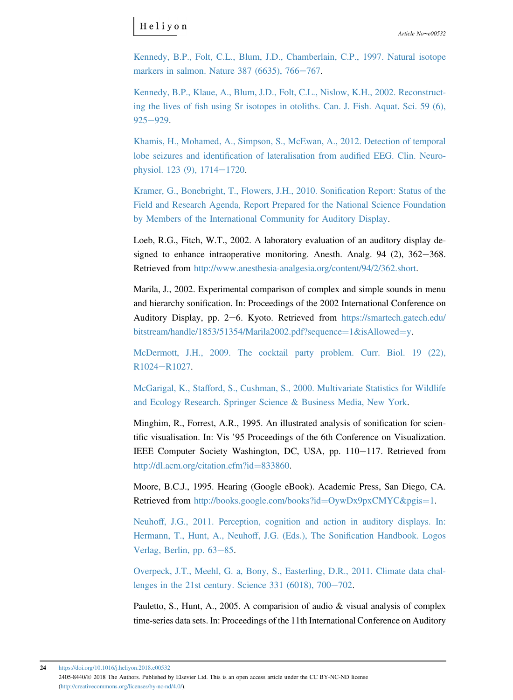<span id="page-23-0"></span>[Kennedy, B.P., Folt, C.L., Blum, J.D., Chamberlain, C.P., 1997. Natural isotope](http://refhub.elsevier.com/S2405-8440(17)31718-8/sref31) markers in salmon. Nature  $387$  (6635), 766-[767](http://refhub.elsevier.com/S2405-8440(17)31718-8/sref31).

[Kennedy, B.P., Klaue, A., Blum, J.D., Folt, C.L., Nislow, K.H., 2002. Reconstruct](http://refhub.elsevier.com/S2405-8440(17)31718-8/sref32)ing the lives of fi[sh using Sr isotopes in otoliths. Can. J. Fish. Aquat. Sci. 59 \(6\),](http://refhub.elsevier.com/S2405-8440(17)31718-8/sref32)  $925 - 929.$  $925 - 929.$  $925 - 929.$  $925 - 929.$ 

[Khamis, H., Mohamed, A., Simpson, S., McEwan, A., 2012. Detection of temporal](http://refhub.elsevier.com/S2405-8440(17)31718-8/sref33) lobe seizures and identifi[cation of lateralisation from audi](http://refhub.elsevier.com/S2405-8440(17)31718-8/sref33)fied EEG. Clin. Neurophysiol.  $123$  (9),  $1714-1720$ .

[Kramer, G., Bonebright, T., Flowers, J.H., 2010. Soni](http://refhub.elsevier.com/S2405-8440(17)31718-8/sref34)fication Report: Status of the [Field and Research Agenda, Report Prepared for the National Science Foundation](http://refhub.elsevier.com/S2405-8440(17)31718-8/sref34) [by Members of the International Community for Auditory Display.](http://refhub.elsevier.com/S2405-8440(17)31718-8/sref34)

Loeb, R.G., Fitch, W.T., 2002. A laboratory evaluation of an auditory display designed to enhance intraoperative monitoring. Anesth. Analg.  $94$  (2),  $362-368$ . Retrieved from [http://www.anesthesia-analgesia.org/content/94/2/362.short.](http://www.anesthesia-analgesia.org/content/94/2/362.short)

Marila, J., 2002. Experimental comparison of complex and simple sounds in menu and hierarchy sonification. In: Proceedings of the 2002 International Conference on Auditory Display, pp. 2–6. Kyoto. Retrieved from [https://smartech.gatech.edu/](https://smartech.gatech.edu/bitstream/handle/1853/51354/Marila2002.pdf?sequence=1&isAllowed=y) [bitstream/handle/1853/51354/Marila2002.pdf?sequence](https://smartech.gatech.edu/bitstream/handle/1853/51354/Marila2002.pdf?sequence=1&isAllowed=y)=[1&isAllowed](https://smartech.gatech.edu/bitstream/handle/1853/51354/Marila2002.pdf?sequence=1&isAllowed=y)=[y.](https://smartech.gatech.edu/bitstream/handle/1853/51354/Marila2002.pdf?sequence=1&isAllowed=y)

[McDermott, J.H., 2009. The cocktail party problem. Curr. Biol. 19 \(22\),](http://refhub.elsevier.com/S2405-8440(17)31718-8/sref37) [R1024](http://refhub.elsevier.com/S2405-8440(17)31718-8/sref37)-[R1027](http://refhub.elsevier.com/S2405-8440(17)31718-8/sref37).

McGarigal, K., Staff[ord, S., Cushman, S., 2000. Multivariate Statistics for Wildlife](http://refhub.elsevier.com/S2405-8440(17)31718-8/sref38) [and Ecology Research. Springer Science & Business Media, New York](http://refhub.elsevier.com/S2405-8440(17)31718-8/sref38).

Minghim, R., Forrest, A.R., 1995. An illustrated analysis of sonification for scientific visualisation. In: Vis '95 Proceedings of the 6th Conference on Visualization. IEEE Computer Society Washington, DC, USA, pp. 110-117. Retrieved from [http://dl.acm.org/citation.cfm?id](http://dl.acm.org/citation.cfm?id=833860)=[833860](http://dl.acm.org/citation.cfm?id=833860).

Moore, B.C.J., 1995. Hearing (Google eBook). Academic Press, San Diego, CA. Retrieved from [http://books.google.com/books?id](http://books.google.com/books?id=OywDx9pxCMYC&pgis=1)=[OywDx9pxCMYC&pgis](http://books.google.com/books?id=OywDx9pxCMYC&pgis=1)=[1](http://books.google.com/books?id=OywDx9pxCMYC&pgis=1).

Neuhoff[, J.G., 2011. Perception, cognition and action in auditory displays. In:](http://refhub.elsevier.com/S2405-8440(17)31718-8/sref41) [Hermann, T., Hunt, A., Neuho](http://refhub.elsevier.com/S2405-8440(17)31718-8/sref41)ff, J.G. (Eds.), The Sonification Handbook. Logos Verlag, Berlin, pp.  $63-85$  $63-85$ .

[Overpeck, J.T., Meehl, G. a, Bony, S., Easterling, D.R., 2011. Climate data chal](http://refhub.elsevier.com/S2405-8440(17)31718-8/sref42)lenges in the 21st century. Science  $331$  (6018),  $700-702$ .

Pauletto, S., Hunt, A., 2005. A comparision of audio & visual analysis of complex time-series data sets. In: Proceedings of the 11th International Conference on Auditory

<sup>2405-8440/© 2018</sup> The Authors. Published by Elsevier Ltd. This is an open access article under the CC BY-NC-ND license [\(http://creativecommons.org/licenses/by-nc-nd/4.0/](http://creativecommons.org/licenses/by-nc-nd/4.0/)).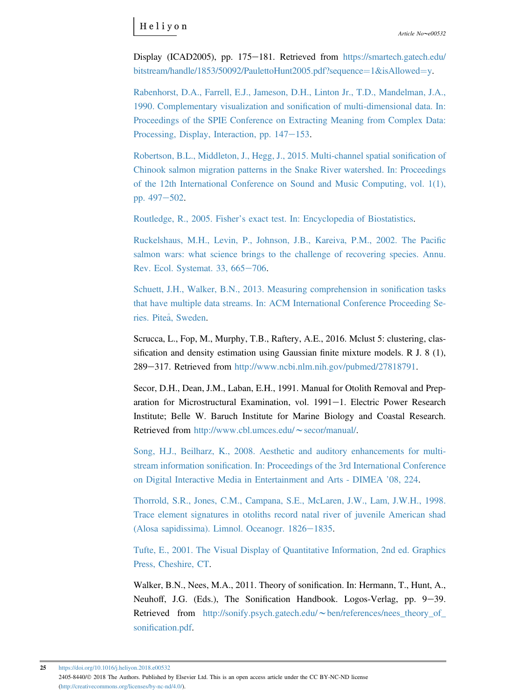<span id="page-24-0"></span>Display (ICAD2005), pp. 175-181. Retrieved from [https://smartech.gatech.edu/](https://smartech.gatech.edu/bitstream/handle/1853/50092/PaulettoHunt2005.pdf?sequence=1&isAllowed=y) [bitstream/handle/1853/50092/PaulettoHunt2005.pdf?sequence](https://smartech.gatech.edu/bitstream/handle/1853/50092/PaulettoHunt2005.pdf?sequence=1&isAllowed=y)=[1&isAllowed](https://smartech.gatech.edu/bitstream/handle/1853/50092/PaulettoHunt2005.pdf?sequence=1&isAllowed=y)=[y.](https://smartech.gatech.edu/bitstream/handle/1853/50092/PaulettoHunt2005.pdf?sequence=1&isAllowed=y)

[Rabenhorst, D.A., Farrell, E.J., Jameson, D.H., Linton Jr., T.D., Mandelman, J.A.,](http://refhub.elsevier.com/S2405-8440(17)31718-8/sref44) [1990. Complementary visualization and soni](http://refhub.elsevier.com/S2405-8440(17)31718-8/sref44)fication of multi-dimensional data. In: [Proceedings of the SPIE Conference on Extracting Meaning from Complex Data:](http://refhub.elsevier.com/S2405-8440(17)31718-8/sref44) Processing, Display, Interaction, pp.  $147-153$ .

[Robertson, B.L., Middleton, J., Hegg, J., 2015. Multi-channel spatial soni](http://refhub.elsevier.com/S2405-8440(17)31718-8/sref45)fication of [Chinook salmon migration patterns in the Snake River watershed. In: Proceedings](http://refhub.elsevier.com/S2405-8440(17)31718-8/sref45) [of the 12th International Conference on Sound and Music Computing, vol. 1\(1\),](http://refhub.elsevier.com/S2405-8440(17)31718-8/sref45) pp.  $497 - 502$ .

Routledge, R., 2005. Fisher'[s exact test. In: Encyclopedia of Biostatistics.](http://refhub.elsevier.com/S2405-8440(17)31718-8/sref46)

[Ruckelshaus, M.H., Levin, P., Johnson, J.B., Kareiva, P.M., 2002. The Paci](http://refhub.elsevier.com/S2405-8440(17)31718-8/sref47)fic [salmon wars: what science brings to the challenge of recovering species. Annu.](http://refhub.elsevier.com/S2405-8440(17)31718-8/sref47) [Rev. Ecol. Systemat. 33, 665](http://refhub.elsevier.com/S2405-8440(17)31718-8/sref47)-[706.](http://refhub.elsevier.com/S2405-8440(17)31718-8/sref47)

[Schuett, J.H., Walker, B.N., 2013. Measuring comprehension in soni](http://refhub.elsevier.com/S2405-8440(17)31718-8/sref48)fication tasks [that have multiple data streams. In: ACM International Conference Proceeding Se](http://refhub.elsevier.com/S2405-8440(17)31718-8/sref48)[ries. Pite](http://refhub.elsevier.com/S2405-8440(17)31718-8/sref48)å, Sweden.

Scrucca, L., Fop, M., Murphy, T.B., Raftery, A.E., 2016. Mclust 5: clustering, classification and density estimation using Gaussian finite mixture models. R J. 8 (1), 289-317. Retrieved from [http://www.ncbi.nlm.nih.gov/pubmed/27818791.](http://www.ncbi.nlm.nih.gov/pubmed/27818791)

Secor, D.H., Dean, J.M., Laban, E.H., 1991. Manual for Otolith Removal and Preparation for Microstructural Examination, vol.  $1991-1$ . Electric Power Research Institute; Belle W. Baruch Institute for Marine Biology and Coastal Research. Retrieved from [http://www.cbl.umces.edu/](http://www.cbl.umces.edu/~secor/manual/) $\sim$ [secor/manual/](http://www.cbl.umces.edu/~secor/manual/).

[Song, H.J., Beilharz, K., 2008. Aesthetic and auditory enhancements for multi](http://refhub.elsevier.com/S2405-8440(17)31718-8/sref51)stream information sonifi[cation. In: Proceedings of the 3rd International Conference](http://refhub.elsevier.com/S2405-8440(17)31718-8/sref51) [on Digital Interactive Media in Entertainment and Arts - DIMEA](http://refhub.elsevier.com/S2405-8440(17)31718-8/sref51) '08, 224.

[Thorrold, S.R., Jones, C.M., Campana, S.E., McLaren, J.W., Lam, J.W.H., 1998.](http://refhub.elsevier.com/S2405-8440(17)31718-8/sref52) [Trace element signatures in otoliths record natal river of juvenile American shad](http://refhub.elsevier.com/S2405-8440(17)31718-8/sref52) (Alosa sapidissima). Limnol. Oceanogr.  $1826-1835$  $1826-1835$ .

[Tufte, E., 2001. The Visual Display of Quantitative Information, 2nd ed. Graphics](http://refhub.elsevier.com/S2405-8440(17)31718-8/sref53) [Press, Cheshire, CT](http://refhub.elsevier.com/S2405-8440(17)31718-8/sref53).

Walker, B.N., Nees, M.A., 2011. Theory of sonification. In: Hermann, T., Hunt, A., Neuhoff, J.G. (Eds.), The Sonification Handbook. Logos-Verlag, pp. 9–39. Retrieved from [http://sonify.psych.gatech.edu/](http://sonify.psych.gatech.edu/~ben/references/nees_theory_of_sonification.pdf)~[ben/references/nees\\_theory\\_of\\_](http://sonify.psych.gatech.edu/~ben/references/nees_theory_of_sonification.pdf) sonifi[cation.pdf.](http://sonify.psych.gatech.edu/~ben/references/nees_theory_of_sonification.pdf)

<sup>25</sup> <https://doi.org/10.1016/j.heliyon.2018.e00532>

<sup>2405-8440/© 2018</sup> The Authors. Published by Elsevier Ltd. This is an open access article under the CC BY-NC-ND license [\(http://creativecommons.org/licenses/by-nc-nd/4.0/](http://creativecommons.org/licenses/by-nc-nd/4.0/)).